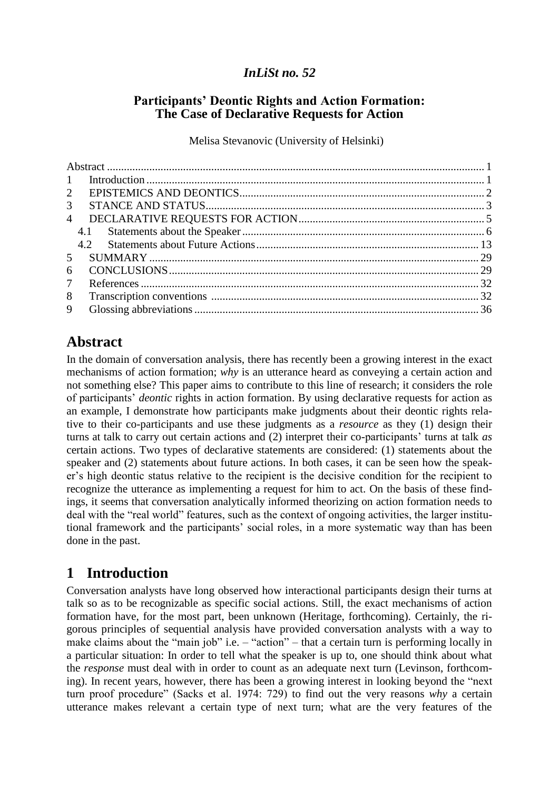## *InLiSt no. 52*

## **Participants' Deontic Rights and Action Formation: The Case of Declarative Requests for Action**

Melisa Stevanovic (University of Helsinki)

| $\mathbf{1}$    |  |
|-----------------|--|
| $2^{\circ}$     |  |
| $\mathfrak{Z}$  |  |
| $\overline{4}$  |  |
|                 |  |
|                 |  |
| 5 <sup>7</sup>  |  |
| 6               |  |
| $7\overline{ }$ |  |
| 8               |  |
| 9               |  |

# <span id="page-0-0"></span>**Abstract**

In the domain of conversation analysis, there has recently been a growing interest in the exact mechanisms of action formation; *why* is an utterance heard as conveying a certain action and not something else? This paper aims to contribute to this line of research; it considers the role of participants' *deontic* rights in action formation. By using declarative requests for action as an example, I demonstrate how participants make judgments about their deontic rights relative to their co-participants and use these judgments as a *resource* as they (1) design their turns at talk to carry out certain actions and (2) interpret their co-participants' turns at talk *as* certain actions. Two types of declarative statements are considered: (1) statements about the speaker and (2) statements about future actions. In both cases, it can be seen how the speaker's high deontic status relative to the recipient is the decisive condition for the recipient to recognize the utterance as implementing a request for him to act. On the basis of these findings, it seems that conversation analytically informed theorizing on action formation needs to deal with the "real world" features, such as the context of ongoing activities, the larger institutional framework and the participants' social roles, in a more systematic way than has been done in the past.

# <span id="page-0-1"></span>**1 Introduction**

Conversation analysts have long observed how interactional participants design their turns at talk so as to be recognizable as specific social actions. Still, the exact mechanisms of action formation have, for the most part, been unknown (Heritage, forthcoming). Certainly, the rigorous principles of sequential analysis have provided conversation analysts with a way to make claims about the "main job" i.e.  $-$  "action" – that a certain turn is performing locally in a particular situation: In order to tell what the speaker is up to, one should think about what the *response* must deal with in order to count as an adequate next turn (Levinson, forthcoming). In recent years, however, there has been a growing interest in looking beyond the "next" turn proof procedure" (Sacks et al. 1974: 729) to find out the very reasons *why* a certain utterance makes relevant a certain type of next turn; what are the very features of the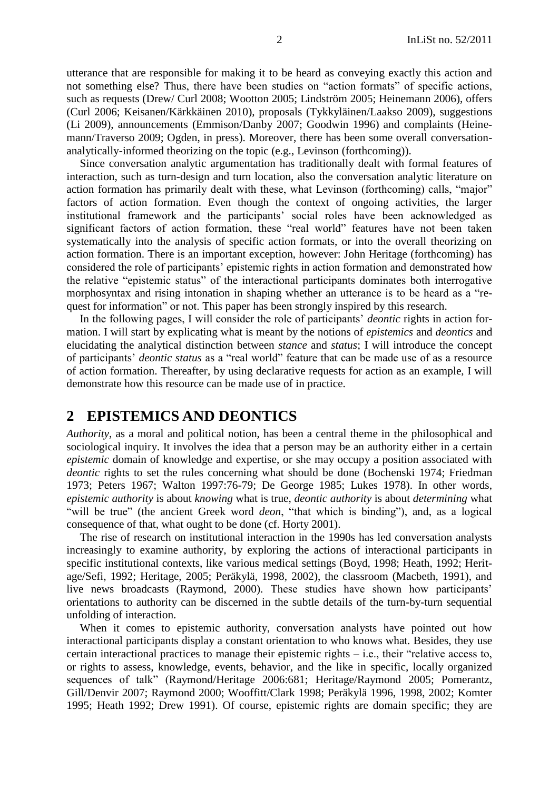utterance that are responsible for making it to be heard as conveying exactly this action and not something else? Thus, there have been studies on "action formats" of specific actions, such as requests (Drew/ Curl 2008; Wootton 2005; Lindström 2005; Heinemann 2006), offers (Curl 2006; Keisanen/Kärkkäinen 2010), proposals (Tykkyläinen/Laakso 2009), suggestions (Li 2009), announcements (Emmison/Danby 2007; Goodwin 1996) and complaints (Heinemann/Traverso 2009; Ogden, in press). Moreover, there has been some overall conversationanalytically-informed theorizing on the topic (e.g., Levinson (forthcoming)).

Since conversation analytic argumentation has traditionally dealt with formal features of interaction, such as turn-design and turn location, also the conversation analytic literature on action formation has primarily dealt with these, what Levinson (forthcoming) calls, "major" factors of action formation. Even though the context of ongoing activities, the larger institutional framework and the participants' social roles have been acknowledged as significant factors of action formation, these "real world" features have not been taken systematically into the analysis of specific action formats, or into the overall theorizing on action formation. There is an important exception, however: John Heritage (forthcoming) has considered the role of participants' epistemic rights in action formation and demonstrated how the relative "epistemic status" of the interactional participants dominates both interrogative morphosyntax and rising intonation in shaping whether an utterance is to be heard as a "request for information" or not. This paper has been strongly inspired by this research.

In the following pages, I will consider the role of participants' *deontic* rights in action formation. I will start by explicating what is meant by the notions of *epistemics* and *deontics* and elucidating the analytical distinction between *stance* and *status*; I will introduce the concept of participants' *deontic status* as a "real world" feature that can be made use of as a resource of action formation. Thereafter, by using declarative requests for action as an example, I will demonstrate how this resource can be made use of in practice.

# <span id="page-1-0"></span>**2 EPISTEMICS AND DEONTICS**

*Authority*, as a moral and political notion, has been a central theme in the philosophical and sociological inquiry. It involves the idea that a person may be an authority either in a certain *epistemic* domain of knowledge and expertise, or she may occupy a position associated with *deontic* rights to set the rules concerning what should be done (Bochenski 1974; Friedman 1973; Peters 1967; Walton 1997:76-79; De George 1985; Lukes 1978). In other words, *epistemic authority* is about *knowing* what is true, *deontic authority* is about *determining* what "will be true" (the ancient Greek word *deon*, "that which is binding"), and, as a logical consequence of that, what ought to be done (cf. Horty 2001).

The rise of research on institutional interaction in the 1990s has led conversation analysts increasingly to examine authority, by exploring the actions of interactional participants in specific institutional contexts, like various medical settings (Boyd, 1998; Heath, 1992; Heritage/Sefi, 1992; Heritage, 2005; Peräkylä, 1998, 2002), the classroom (Macbeth, 1991), and live news broadcasts (Raymond, 2000). These studies have shown how participants' orientations to authority can be discerned in the subtle details of the turn-by-turn sequential unfolding of interaction.

When it comes to epistemic authority, conversation analysts have pointed out how interactional participants display a constant orientation to who knows what*.* Besides, they use certain interactional practices to manage their epistemic rights  $-$  i.e., their "relative access to, or rights to assess, knowledge, events, behavior, and the like in specific, locally organized sequences of talk" (Raymond/Heritage 2006:681; Heritage/Raymond 2005; Pomerantz, Gill/Denvir 2007; Raymond 2000; Wooffitt/Clark 1998; Peräkylä 1996, 1998, 2002; Komter 1995; Heath 1992; Drew 1991). Of course, epistemic rights are domain specific; they are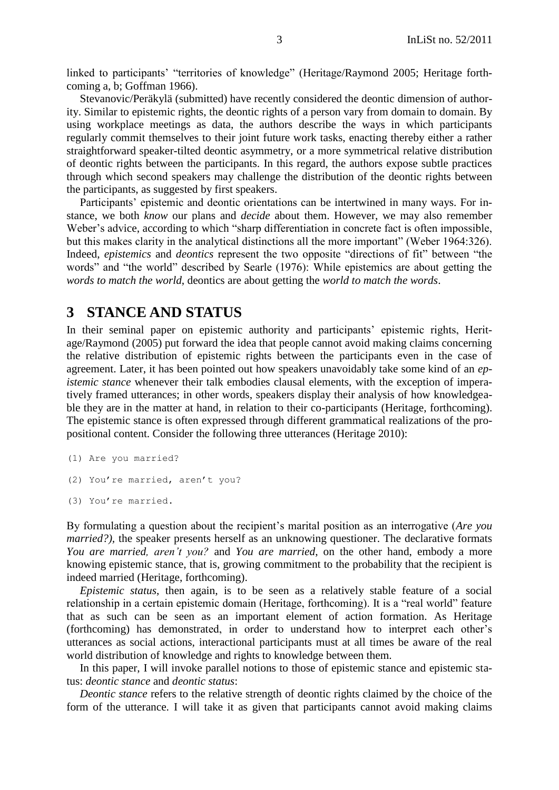linked to participants' "territories of knowledge" (Heritage/Raymond 2005; Heritage forthcoming a, b; Goffman 1966).

Stevanovic/Peräkylä (submitted) have recently considered the deontic dimension of authority. Similar to epistemic rights, the deontic rights of a person vary from domain to domain. By using workplace meetings as data, the authors describe the ways in which participants regularly commit themselves to their joint future work tasks, enacting thereby either a rather straightforward speaker-tilted deontic asymmetry, or a more symmetrical relative distribution of deontic rights between the participants. In this regard, the authors expose subtle practices through which second speakers may challenge the distribution of the deontic rights between the participants, as suggested by first speakers.

Participants' epistemic and deontic orientations can be intertwined in many ways. For instance, we both *know* our plans and *decide* about them. However, we may also remember Weber's advice, according to which "sharp differentiation in concrete fact is often impossible, but this makes clarity in the analytical distinctions all the more important" (Weber 1964:326). Indeed, *epistemics* and *deontics* represent the two opposite "directions of fit" between "the words" and "the world" described by Searle (1976): While epistemics are about getting the *words to match the world*, deontics are about getting the *world to match the words*.

## <span id="page-2-0"></span>**3 STANCE AND STATUS**

In their seminal paper on epistemic authority and participants' epistemic rights, Heritage/Raymond (2005) put forward the idea that people cannot avoid making claims concerning the relative distribution of epistemic rights between the participants even in the case of agreement. Later, it has been pointed out how speakers unavoidably take some kind of an *epistemic stance* whenever their talk embodies clausal elements, with the exception of imperatively framed utterances; in other words, speakers display their analysis of how knowledgeable they are in the matter at hand, in relation to their co-participants (Heritage, forthcoming). The epistemic stance is often expressed through different grammatical realizations of the propositional content. Consider the following three utterances (Heritage 2010):

(1) Are you married? (2) You're married, aren't you? (3) You're married.

By formulating a question about the recipient's marital position as an interrogative (*Are you married?*), the speaker presents herself as an unknowing questioner. The declarative formats *You are married, aren't you?* and *You are married*, on the other hand, embody a more knowing epistemic stance, that is, growing commitment to the probability that the recipient is indeed married (Heritage, forthcoming).

*Epistemic status*, then again, is to be seen as a relatively stable feature of a social relationship in a certain epistemic domain (Heritage, forthcoming). It is a "real world" feature that as such can be seen as an important element of action formation. As Heritage (forthcoming) has demonstrated, in order to understand how to interpret each other's utterances as social actions, interactional participants must at all times be aware of the real world distribution of knowledge and rights to knowledge between them.

In this paper, I will invoke parallel notions to those of epistemic stance and epistemic status: *deontic stance* and *deontic status*:

*Deontic stance* refers to the relative strength of deontic rights claimed by the choice of the form of the utterance. I will take it as given that participants cannot avoid making claims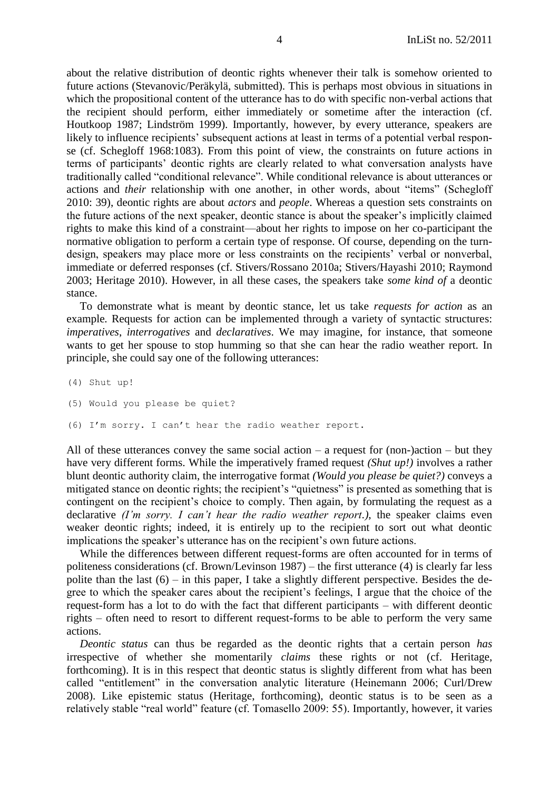about the relative distribution of deontic rights whenever their talk is somehow oriented to future actions (Stevanovic/Peräkylä, submitted). This is perhaps most obvious in situations in which the propositional content of the utterance has to do with specific non-verbal actions that the recipient should perform, either immediately or sometime after the interaction (cf. Houtkoop 1987; Lindström 1999). Importantly, however, by every utterance, speakers are likely to influence recipients' subsequent actions at least in terms of a potential verbal response (cf. Schegloff 1968:1083). From this point of view, the constraints on future actions in terms of participants' deontic rights are clearly related to what conversation analysts have traditionally called "conditional relevance". While conditional relevance is about utterances or actions and *their* relationship with one another, in other words, about "items" (Schegloff 2010: 39), deontic rights are about *actors* and *people*. Whereas a question sets constraints on the future actions of the next speaker, deontic stance is about the speaker's implicitly claimed rights to make this kind of a constraint—about her rights to impose on her co-participant the normative obligation to perform a certain type of response. Of course, depending on the turndesign, speakers may place more or less constraints on the recipients' verbal or nonverbal, immediate or deferred responses (cf. Stivers/Rossano 2010a; Stivers/Hayashi 2010; Raymond 2003; Heritage 2010). However, in all these cases, the speakers take *some kind of* a deontic stance.

To demonstrate what is meant by deontic stance, let us take *requests for action* as an example*.* Requests for action can be implemented through a variety of syntactic structures: *imperatives*, *interrogatives* and *declaratives*. We may imagine, for instance, that someone wants to get her spouse to stop humming so that she can hear the radio weather report. In principle, she could say one of the following utterances:

(4) Shut up!

- (5) Would you please be quiet?
- (6) I'm sorry. I can't hear the radio weather report.

All of these utterances convey the same social action  $-$  a request for (non-)action  $-$  but they have very different forms. While the imperatively framed request *(Shut up!)* involves a rather blunt deontic authority claim, the interrogative format *(Would you please be quiet?)* conveys a mitigated stance on deontic rights; the recipient's "quietness" is presented as something that is contingent on the recipient's choice to comply. Then again, by formulating the request as a declarative *(I'm sorry. I can't hear the radio weather report.)*, the speaker claims even weaker deontic rights; indeed, it is entirely up to the recipient to sort out what deontic implications the speaker's utterance has on the recipient's own future actions.

While the differences between different request-forms are often accounted for in terms of politeness considerations (cf. Brown/Levinson 1987) – the first utterance (4) is clearly far less polite than the last  $(6)$  – in this paper, I take a slightly different perspective. Besides the degree to which the speaker cares about the recipient's feelings, I argue that the choice of the request-form has a lot to do with the fact that different participants – with different deontic rights – often need to resort to different request-forms to be able to perform the very same actions.

*Deontic status* can thus be regarded as the deontic rights that a certain person *has* irrespective of whether she momentarily *claims* these rights or not (cf. Heritage, forthcoming). It is in this respect that deontic status is slightly different from what has been called "entitlement" in the conversation analytic literature (Heinemann 2006; Curl/Drew 2008). Like epistemic status (Heritage, forthcoming), deontic status is to be seen as a relatively stable "real world" feature (cf. Tomasello 2009: 55). Importantly, however, it varies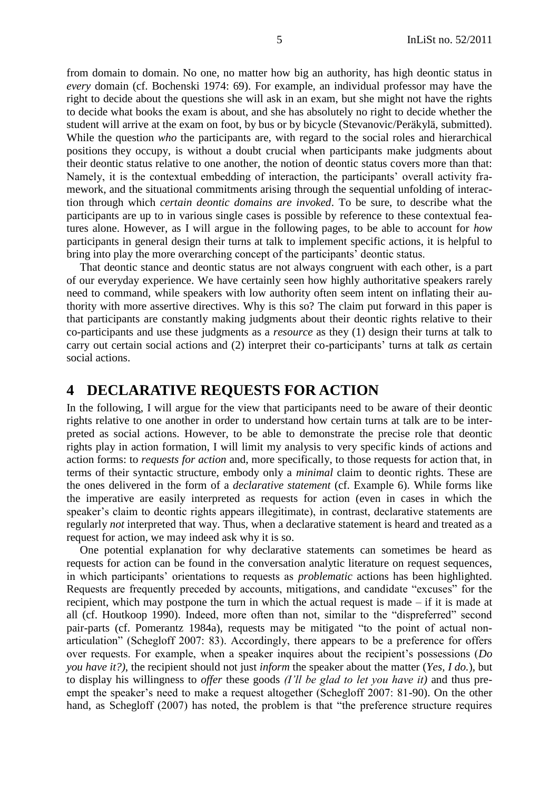from domain to domain. No one, no matter how big an authority, has high deontic status in *every* domain (cf. Bochenski 1974: 69). For example, an individual professor may have the right to decide about the questions she will ask in an exam, but she might not have the rights to decide what books the exam is about, and she has absolutely no right to decide whether the student will arrive at the exam on foot, by bus or by bicycle (Stevanovic/Peräkylä, submitted). While the question *who* the participants are, with regard to the social roles and hierarchical positions they occupy, is without a doubt crucial when participants make judgments about their deontic status relative to one another, the notion of deontic status covers more than that: Namely, it is the contextual embedding of interaction, the participants' overall activity framework, and the situational commitments arising through the sequential unfolding of interaction through which *certain deontic domains are invoked*. To be sure, to describe what the participants are up to in various single cases is possible by reference to these contextual features alone. However, as I will argue in the following pages, to be able to account for *how*  participants in general design their turns at talk to implement specific actions, it is helpful to bring into play the more overarching concept of the participants' deontic status.

That deontic stance and deontic status are not always congruent with each other, is a part of our everyday experience. We have certainly seen how highly authoritative speakers rarely need to command, while speakers with low authority often seem intent on inflating their authority with more assertive directives. Why is this so? The claim put forward in this paper is that participants are constantly making judgments about their deontic rights relative to their co-participants and use these judgments as a *resource* as they (1) design their turns at talk to carry out certain social actions and (2) interpret their co-participants' turns at talk *as* certain social actions.

## <span id="page-4-0"></span>**4 DECLARATIVE REQUESTS FOR ACTION**

In the following, I will argue for the view that participants need to be aware of their deontic rights relative to one another in order to understand how certain turns at talk are to be interpreted as social actions. However, to be able to demonstrate the precise role that deontic rights play in action formation, I will limit my analysis to very specific kinds of actions and action forms: to *requests for action* and, more specifically, to those requests for action that, in terms of their syntactic structure, embody only a *minimal* claim to deontic rights. These are the ones delivered in the form of a *declarative statement* (cf. Example 6). While forms like the imperative are easily interpreted as requests for action (even in cases in which the speaker's claim to deontic rights appears illegitimate), in contrast, declarative statements are regularly *not* interpreted that way. Thus, when a declarative statement is heard and treated as a request for action, we may indeed ask why it is so.

One potential explanation for why declarative statements can sometimes be heard as requests for action can be found in the conversation analytic literature on request sequences, in which participants' orientations to requests as *problematic* actions has been highlighted. Requests are frequently preceded by accounts, mitigations, and candidate "excuses" for the recipient, which may postpone the turn in which the actual request is made – if it is made at all (cf. Houtkoop 1990). Indeed, more often than not, similar to the "dispreferred" second pair-parts (cf. Pomerantz 1984a), requests may be mitigated "to the point of actual nonarticulation‖ (Schegloff 2007: 83). Accordingly, there appears to be a preference for offers over requests. For example, when a speaker inquires about the recipient's possessions (*Do you have it?)*, the recipient should not just *inform* the speaker about the matter (*Yes, I do.*), but to display his willingness to *offer* these goods *(I'll be glad to let you have it)* and thus preempt the speaker's need to make a request altogether (Schegloff 2007: 81-90). On the other hand, as Schegloff  $(2007)$  has noted, the problem is that "the preference structure requires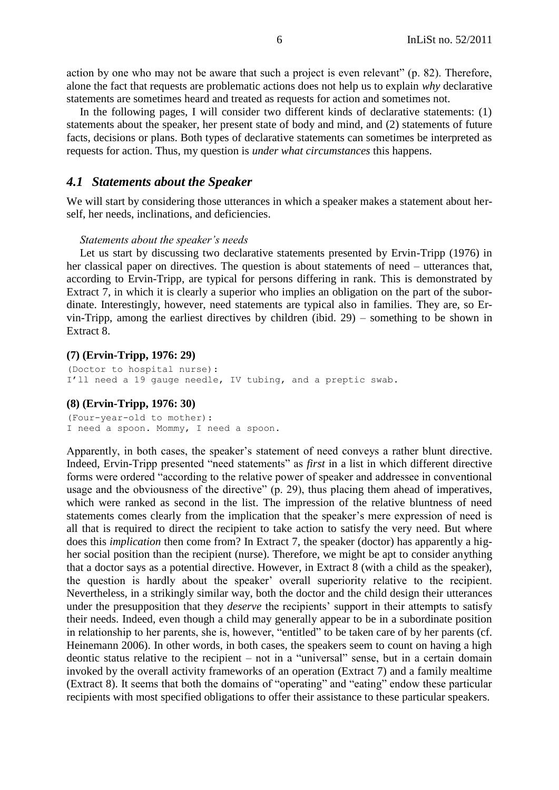action by one who may not be aware that such a project is even relevant"  $(p. 82)$ . Therefore, alone the fact that requests are problematic actions does not help us to explain *why* declarative statements are sometimes heard and treated as requests for action and sometimes not.

In the following pages, I will consider two different kinds of declarative statements: (1) statements about the speaker, her present state of body and mind, and (2) statements of future facts, decisions or plans. Both types of declarative statements can sometimes be interpreted as requests for action. Thus, my question is *under what circumstances* this happens.

## <span id="page-5-0"></span>*4.1 Statements about the Speaker*

We will start by considering those utterances in which a speaker makes a statement about herself, her needs, inclinations, and deficiencies.

#### *Statements about the speaker's needs*

Let us start by discussing two declarative statements presented by Ervin-Tripp (1976) in her classical paper on directives. The question is about statements of need – utterances that, according to Ervin-Tripp, are typical for persons differing in rank. This is demonstrated by Extract 7, in which it is clearly a superior who implies an obligation on the part of the subordinate. Interestingly, however, need statements are typical also in families. They are, so Ervin-Tripp, among the earliest directives by children (ibid. 29) – something to be shown in Extract 8.

#### **(7) (Ervin-Tripp, 1976: 29)**

(Doctor to hospital nurse): I'll need a 19 gauge needle, IV tubing, and a preptic swab.

#### **(8) (Ervin-Tripp, 1976: 30)**

(Four-year-old to mother): I need a spoon. Mommy, I need a spoon.

Apparently, in both cases, the speaker's statement of need conveys a rather blunt directive. Indeed, Ervin-Tripp presented "need statements" as *first* in a list in which different directive forms were ordered "according to the relative power of speaker and addressee in conventional usage and the obviousness of the directive" (p. 29), thus placing them ahead of imperatives, which were ranked as second in the list. The impression of the relative bluntness of need statements comes clearly from the implication that the speaker's mere expression of need is all that is required to direct the recipient to take action to satisfy the very need. But where does this *implication* then come from? In Extract 7, the speaker (doctor) has apparently a higher social position than the recipient (nurse). Therefore, we might be apt to consider anything that a doctor says as a potential directive. However, in Extract 8 (with a child as the speaker), the question is hardly about the speaker' overall superiority relative to the recipient. Nevertheless, in a strikingly similar way, both the doctor and the child design their utterances under the presupposition that they *deserve* the recipients' support in their attempts to satisfy their needs. Indeed, even though a child may generally appear to be in a subordinate position in relationship to her parents, she is, however, "entitled" to be taken care of by her parents (cf. Heinemann 2006). In other words, in both cases, the speakers seem to count on having a high deontic status relative to the recipient – not in a "universal" sense, but in a certain domain invoked by the overall activity frameworks of an operation (Extract 7) and a family mealtime (Extract 8). It seems that both the domains of "operating" and "eating" endow these particular recipients with most specified obligations to offer their assistance to these particular speakers.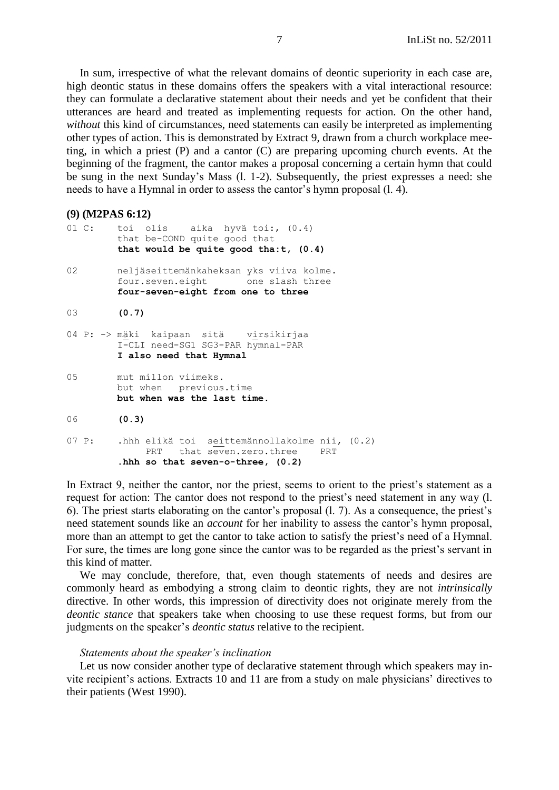In sum, irrespective of what the relevant domains of deontic superiority in each case are, high deontic status in these domains offers the speakers with a vital interactional resource: they can formulate a declarative statement about their needs and yet be confident that their utterances are heard and treated as implementing requests for action. On the other hand, *without* this kind of circumstances, need statements can easily be interpreted as implementing other types of action. This is demonstrated by Extract 9, drawn from a church workplace meeting, in which a priest (P) and a cantor (C) are preparing upcoming church events. At the beginning of the fragment, the cantor makes a proposal concerning a certain hymn that could be sung in the next Sunday's Mass (l. 1-2). Subsequently, the priest expresses a need: she needs to have a Hymnal in order to assess the cantor's hymn proposal (l. 4).

```
(9) (M2PAS 6:12)
```

|    | 01 C: toi olis aika hyvätoi:, (0.4)<br>that be-COND quite good that<br>that would be quite good tha: $t$ , $(0.4)$           |
|----|------------------------------------------------------------------------------------------------------------------------------|
| 02 | neljäseittemänkaheksan yks viiva kolme.<br>four.seven.eight one slash three<br>four-seven-eight from one to three            |
| 03 | (0.7)                                                                                                                        |
|    | 04 P: -> mäki kaipaan sitä virsikirjaa<br>I-CLI need-SG1 SG3-PAR hymnal-PAR<br>I also need that Hymnal                       |
| 05 | mut millon viimeks.<br>but when previous.time<br>but when was the last time.                                                 |
| 06 | (0.3)                                                                                                                        |
|    | 07 P: .hhh elikä toi seittemännollakolme nii, (0.2)<br>PRT that seven.zero.three<br>PRT<br>hhh so that seven-o-three, (0.2). |

In Extract 9, neither the cantor, nor the priest, seems to orient to the priest's statement as a request for action: The cantor does not respond to the priest's need statement in any way (l. 6). The priest starts elaborating on the cantor's proposal (l. 7). As a consequence, the priest's need statement sounds like an *account* for her inability to assess the cantor's hymn proposal, more than an attempt to get the cantor to take action to satisfy the priest's need of a Hymnal. For sure, the times are long gone since the cantor was to be regarded as the priest's servant in this kind of matter.

We may conclude, therefore, that, even though statements of needs and desires are commonly heard as embodying a strong claim to deontic rights, they are not *intrinsically*  directive. In other words, this impression of directivity does not originate merely from the *deontic stance* that speakers take when choosing to use these request forms, but from our judgments on the speaker's *deontic status* relative to the recipient.

### *Statements about the speaker's inclination*

Let us now consider another type of declarative statement through which speakers may invite recipient's actions. Extracts 10 and 11 are from a study on male physicians' directives to their patients (West 1990).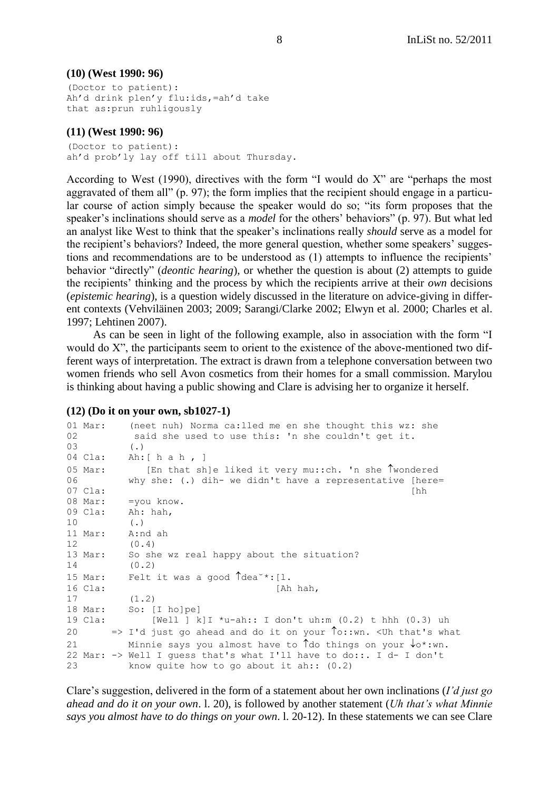## **(10) (West 1990: 96)**

```
(Doctor to patient):
Ah'd drink plen'y flu:ids,=ah'd take 
that as:prun ruhligously
```
## **(11) (West 1990: 96)**

(Doctor to patient): ah'd prob'ly lay off till about Thursday.

According to West (1990), directives with the form  $\lq$  would do X" are "perhaps the most aggravated of them all" (p. 97); the form implies that the recipient should engage in a particular course of action simply because the speaker would do so; "its form proposes that the speaker's inclinations should serve as a *model* for the others' behaviors" (p. 97). But what led an analyst like West to think that the speaker's inclinations really *should* serve as a model for the recipient's behaviors? Indeed, the more general question, whether some speakers' suggestions and recommendations are to be understood as (1) attempts to influence the recipients' behavior "directly" *(deontic hearing)*, or whether the question is about (2) attempts to guide the recipients' thinking and the process by which the recipients arrive at their *own* decisions (*epistemic hearing*), is a question widely discussed in the literature on advice-giving in different contexts (Vehviläinen 2003; 2009; Sarangi/Clarke 2002; Elwyn et al. 2000; Charles et al. 1997; Lehtinen 2007).

As can be seen in light of the following example, also in association with the form "I would do X", the participants seem to orient to the existence of the above-mentioned two different ways of interpretation. The extract is drawn from a telephone conversation between two women friends who sell Avon cosmetics from their homes for a small commission. Marylou is thinking about having a public showing and Clare is advising her to organize it herself.

### **(12) (Do it on your own, sb1027-1)**

| 02<br>03 | $01$ Mar: | (neet nuh) Norma ca:lled me en she thought this wz: she<br>said she used to use this: 'n she couldn't get it.<br>$(\cdot)$ |
|----------|-----------|----------------------------------------------------------------------------------------------------------------------------|
|          | 04 Cla:   | Ah: [ h a h $\,$ ]                                                                                                         |
|          | $05$ Mar: | [En that sh]e liked it very mu:: ch. 'n she Twondered                                                                      |
| 06       |           | why she: (.) $\text{dih}$ we didn't have a representative [here=                                                           |
|          | 07 Cla:   | [hh                                                                                                                        |
|          | 08 Mar:   | =you know.                                                                                                                 |
|          | 09 Cla:   | Ah: hah,                                                                                                                   |
| 10       |           | $(\cdot)$                                                                                                                  |
|          | 11 Mar:   | A:nd ah                                                                                                                    |
| 12       |           | (0.4)                                                                                                                      |
|          | 13 Mar:   | So she wz real happy about the situation?                                                                                  |
| 14       |           | (0.2)                                                                                                                      |
|          | $15$ Mar: | Felt it was a good $\int$ dea <sup>-*</sup> : [1.                                                                          |
|          | 16 Cla:   | [Ah hah,                                                                                                                   |
| 17       |           | (1.2)                                                                                                                      |
|          |           | 18 Mar: So: [I holpe]                                                                                                      |
|          | 19 Cla:   | [Well ] k] I *u-ah:: I don't uh:m $(0.2)$ t hhh $(0.3)$ uh                                                                 |
| 20       |           | => I'd just go ahead and do it on your To::wn. <uh td="" that's="" what<=""></uh>                                          |
| 21       |           | Minnie says you almost have to $\hat{d}$ the things on your $\hat{d} \circ \hat{d}$ : wn.                                  |
|          |           | 22 Mar: -> Well I quess that's what I'll have to do::. I d- I don't                                                        |
| 23       |           | know quite how to go about it ah:: $(0.2)$                                                                                 |

Clare's suggestion, delivered in the form of a statement about her own inclinations (*I'd just go ahead and do it on your own*. l. 20), is followed by another statement (*Uh that's what Minnie says you almost have to do things on your own*. l. 20-12). In these statements we can see Clare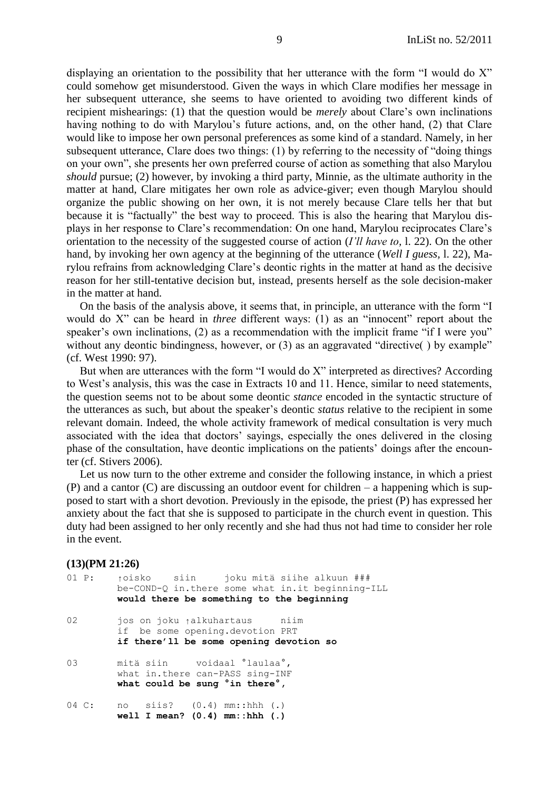displaying an orientation to the possibility that her utterance with the form  $\lq$  would do X" could somehow get misunderstood. Given the ways in which Clare modifies her message in her subsequent utterance, she seems to have oriented to avoiding two different kinds of recipient mishearings: (1) that the question would be *merely* about Clare's own inclinations having nothing to do with Marylou's future actions, and, on the other hand, (2) that Clare would like to impose her own personal preferences as some kind of a standard. Namely, in her subsequent utterance, Clare does two things:  $(1)$  by referring to the necessity of "doing things" on your own", she presents her own preferred course of action as something that also Marylou *should* pursue; (2) however, by invoking a third party, Minnie, as the ultimate authority in the matter at hand, Clare mitigates her own role as advice-giver; even though Marylou should organize the public showing on her own, it is not merely because Clare tells her that but because it is "factually" the best way to proceed. This is also the hearing that Marylou displays in her response to Clare's recommendation: On one hand, Marylou reciprocates Clare's orientation to the necessity of the suggested course of action (*I'll have to,* l. 22). On the other hand, by invoking her own agency at the beginning of the utterance (*Well I guess,* l. 22), Marylou refrains from acknowledging Clare's deontic rights in the matter at hand as the decisive reason for her still-tentative decision but, instead, presents herself as the sole decision-maker in the matter at hand.

On the basis of the analysis above, it seems that, in principle, an utterance with the form "I would do X<sup>n</sup> can be heard in *three* different ways: (1) as an "innocent" report about the speaker's own inclinations,  $(2)$  as a recommendation with the implicit frame "if I were you" without any deontic bindingness, however, or  $(3)$  as an aggravated "directive() by example" (cf. West 1990: 97).

But when are utterances with the form  $\lq$  would do  $X$ " interpreted as directives? According to West's analysis, this was the case in Extracts 10 and 11. Hence, similar to need statements, the question seems not to be about some deontic *stance* encoded in the syntactic structure of the utterances as such, but about the speaker's deontic *status* relative to the recipient in some relevant domain. Indeed, the whole activity framework of medical consultation is very much associated with the idea that doctors' sayings, especially the ones delivered in the closing phase of the consultation, have deontic implications on the patients' doings after the encounter (cf. Stivers 2006).

Let us now turn to the other extreme and consider the following instance, in which a priest (P) and a cantor (C) are discussing an outdoor event for children – a happening which is supposed to start with a short devotion. Previously in the episode, the priest (P) has expressed her anxiety about the fact that she is supposed to participate in the church event in question. This duty had been assigned to her only recently and she had thus not had time to consider her role in the event.

#### **(13)(PM 21:26)**

| 01 P:            | toisko siin joku mitä siihe alkuun ###<br>be-COND-Q in.there some what in.it beginning-ILL<br>would there be something to the beginning |
|------------------|-----------------------------------------------------------------------------------------------------------------------------------------|
| 02               | jos on joku <sub>ľ</sub> alkuhartaus – niim<br>if be some opening.devotion PRT<br>if there'll be some opening devotion so               |
| 03               | mitä siin voidaal 'laulaa',<br>what in.there can-PASS sing-INF<br>what could be sung 'in there',                                        |
| $04 \text{ C}$ : | no siis? $(0.4)$ mm::hhh $(.)$<br>well I mean? $(0.4)$ mm::hhh $(.)$                                                                    |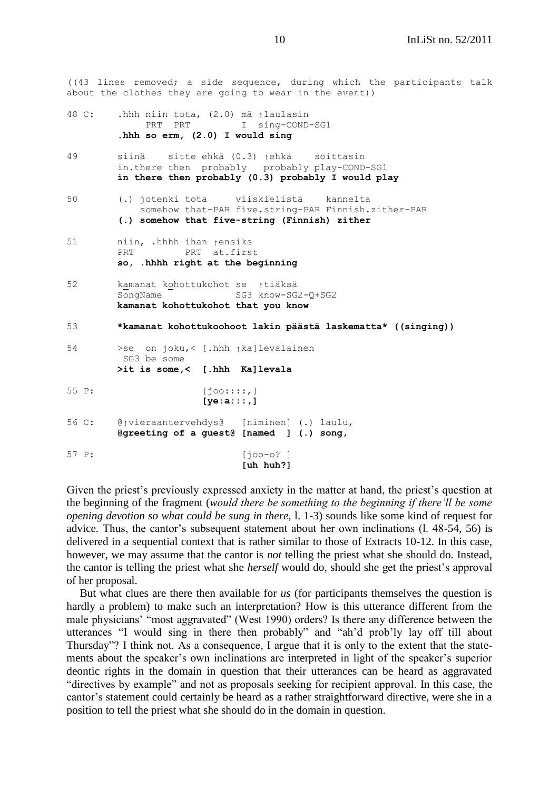((43 lines removed; a side sequence, during which the participants talk about the clothes they are going to wear in the event))

```
48 C: .hhh niin tota, (2.0) mä ↑laulasin 
            PRT PRT I sing-COND-SG1
         .hhh so erm, (2.0) I would sing
49 siinä sitte ehkä (0.3) ↑ehkä soittasin
         in.there then probably probably play-COND-SG1
         in there then probably (0.3) probably I would play
50 (.) jotenki tota viiskielistä kannelta
            somehow that-PAR five.string-PAR Finnish.zither-PAR
         (.) somehow that five-string (Finnish) zither
51 niin, .hhhh ihan ↑ensiks 
        PRT at.first
         so, .hhhh right at the beginning
52 kamanat kohottukohot se ↑tiäksä 
        SongName - SG3 know-SG2-Q+SG2
        kamanat kohottukohot that you know
53 *kamanat kohottukoohoot lakin päästä laskematta* ((singing))
54 >se on joku,< [.hhh ↑ka]levalainen
         SG3 be some 
        >it is some,< [.hhh Ka]levala
55 P: [joo::::,]
                      [ye:a:::,]
56 C: @↑vieraantervehdys@ [niminen] (.) laulu,
        @greeting of a guest@ [named ] (.) song, 
57 P: [joo-o? ]
                            [uh huh?]
```
Given the priest's previously expressed anxiety in the matter at hand, the priest's question at the beginning of the fragment (*would there be something to the beginning if there'll be some opening devotion so what could be sung in there,* l. 1-3) sounds like some kind of request for advice. Thus, the cantor's subsequent statement about her own inclinations (l. 48-54, 56) is delivered in a sequential context that is rather similar to those of Extracts 10-12. In this case, however, we may assume that the cantor is *not* telling the priest what she should do. Instead, the cantor is telling the priest what she *herself* would do, should she get the priest's approval of her proposal.

But what clues are there then available for *us* (for participants themselves the question is hardly a problem) to make such an interpretation? How is this utterance different from the male physicians' "most aggravated" (West 1990) orders? Is there any difference between the utterances "I would sing in there then probably" and "ah'd prob'ly lay off till about Thursday"? I think not. As a consequence, I argue that it is only to the extent that the statements about the speaker's own inclinations are interpreted in light of the speaker's superior deontic rights in the domain in question that their utterances can be heard as aggravated "directives by example" and not as proposals seeking for recipient approval. In this case, the cantor's statement could certainly be heard as a rather straightforward directive, were she in a position to tell the priest what she should do in the domain in question.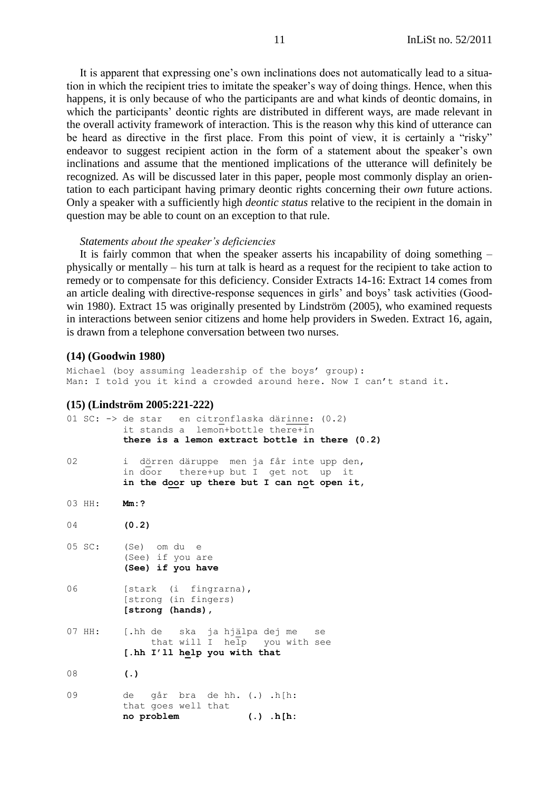It is apparent that expressing one's own inclinations does not automatically lead to a situation in which the recipient tries to imitate the speaker's way of doing things. Hence, when this happens, it is only because of who the participants are and what kinds of deontic domains, in which the participants' deontic rights are distributed in different ways, are made relevant in the overall activity framework of interaction. This is the reason why this kind of utterance can be heard as directive in the first place. From this point of view, it is certainly a "risky" endeavor to suggest recipient action in the form of a statement about the speaker's own inclinations and assume that the mentioned implications of the utterance will definitely be recognized. As will be discussed later in this paper, people most commonly display an orientation to each participant having primary deontic rights concerning their *own* future actions. Only a speaker with a sufficiently high *deontic status* relative to the recipient in the domain in question may be able to count on an exception to that rule.

#### *Statements about the speaker's deficiencies*

It is fairly common that when the speaker asserts his incapability of doing something – physically or mentally – his turn at talk is heard as a request for the recipient to take action to remedy or to compensate for this deficiency. Consider Extracts 14-16: Extract 14 comes from an article dealing with directive-response sequences in girls' and boys' task activities (Goodwin 1980). Extract 15 was originally presented by Lindström (2005), who examined requests in interactions between senior citizens and home help providers in Sweden. Extract 16, again, is drawn from a telephone conversation between two nurses.

#### **(14) (Goodwin 1980)**

Michael (boy assuming leadership of the boys' group): Man: I told you it kind a crowded around here. Now I can't stand it.

#### **(15) (Lindström 2005:221-222)**

|    |        | 01 SC: -> de star en citronflaska därinne: (0.2)<br>it stands a lemon+bottle there+in<br>there is a lemon extract bottle in there $(0.2)$ |
|----|--------|-------------------------------------------------------------------------------------------------------------------------------------------|
| 02 |        | i dörren däruppe men ja får inte upp den,<br>in door there+up but I get not up it<br>in the door up there but I can not open it,          |
|    | 03 HH: | Mm: ?                                                                                                                                     |
| 04 |        | (0.2)                                                                                                                                     |
|    | 05 SC: | (Se) om du e<br>(See) if you are<br>(See) if you have                                                                                     |
| 06 |        | [stark (i fingrarna),<br>[strong (in fingers)<br>[strong (hands),                                                                         |
|    | 07 HH: | [.hh de ska ja hjälpa dej me se<br>that will I help you with see<br>[.hh I'll help you with that                                          |
| 08 |        | $\left( .\right)$                                                                                                                         |
| 09 |        | de går bra de hh. (.) .h[h:<br>that goes well that<br>no problem<br>$(.)$ .h[h:                                                           |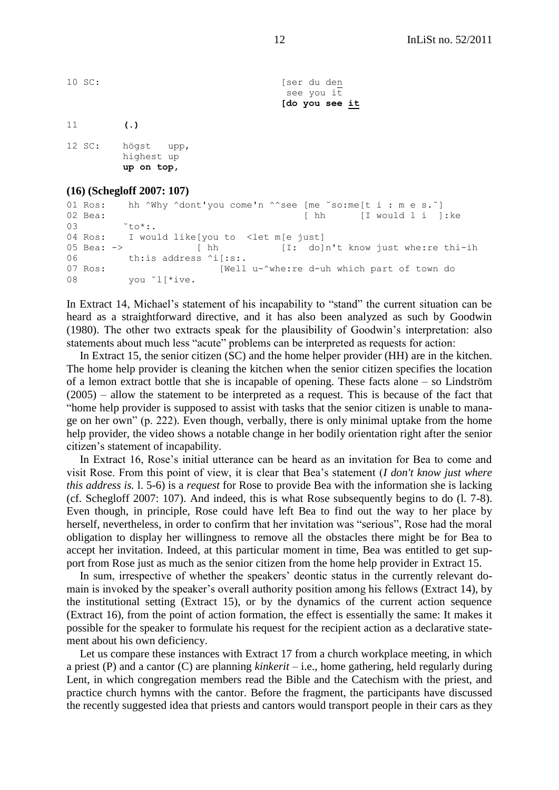10 SC: [ser du den see you it **[do you see it** 11 **(.)**

12 SC: högst upp, highest up **up on top,**

### **(16) (Schegloff 2007: 107)**

01 Ros: hh ^Why ^dont'you come'n ^^see [me ˘so:me[t i : m e s.˘] 02 Bea: [ hh [I would l i ]: ke  $03 \qquad \qquad \text{to}^*$ : 04 Ros: I would like[you to <let m[e just] 05 Bea: -> [ hh [I: do]n't know just whe:re thi-ih 06 th:is address ^i[:s:. 07 Ros: [Well u-^whe:re d-uh which part of town do 08 vou <sup>"1'\*ive</sup>.

In Extract 14, Michael's statement of his incapability to "stand" the current situation can be heard as a straightforward directive, and it has also been analyzed as such by Goodwin (1980). The other two extracts speak for the plausibility of Goodwin's interpretation: also statements about much less "acute" problems can be interpreted as requests for action:

In Extract 15, the senior citizen (SC) and the home helper provider (HH) are in the kitchen. The home help provider is cleaning the kitchen when the senior citizen specifies the location of a lemon extract bottle that she is incapable of opening. These facts alone – so Lindström (2005) – allow the statement to be interpreted as a request. This is because of the fact that ―home help provider is supposed to assist with tasks that the senior citizen is unable to manage on her own" (p. 222). Even though, verbally, there is only minimal uptake from the home help provider, the video shows a notable change in her bodily orientation right after the senior citizen's statement of incapability.

In Extract 16, Rose's initial utterance can be heard as an invitation for Bea to come and visit Rose. From this point of view, it is clear that Bea's statement (*I don't know just where this address is.* l. 5-6) is a *request* for Rose to provide Bea with the information she is lacking (cf. Schegloff 2007: 107). And indeed, this is what Rose subsequently begins to do (l. 7-8). Even though, in principle, Rose could have left Bea to find out the way to her place by herself, nevertheless, in order to confirm that her invitation was "serious", Rose had the moral obligation to display her willingness to remove all the obstacles there might be for Bea to accept her invitation. Indeed, at this particular moment in time, Bea was entitled to get support from Rose just as much as the senior citizen from the home help provider in Extract 15.

In sum, irrespective of whether the speakers' deontic status in the currently relevant domain is invoked by the speaker's overall authority position among his fellows (Extract 14), by the institutional setting (Extract 15), or by the dynamics of the current action sequence (Extract 16), from the point of action formation, the effect is essentially the same: It makes it possible for the speaker to formulate his request for the recipient action as a declarative statement about his own deficiency.

Let us compare these instances with Extract 17 from a church workplace meeting, in which a priest (P) and a cantor (C) are planning *kinkerit* – i.e., home gathering, held regularly during Lent, in which congregation members read the Bible and the Catechism with the priest, and practice church hymns with the cantor. Before the fragment, the participants have discussed the recently suggested idea that priests and cantors would transport people in their cars as they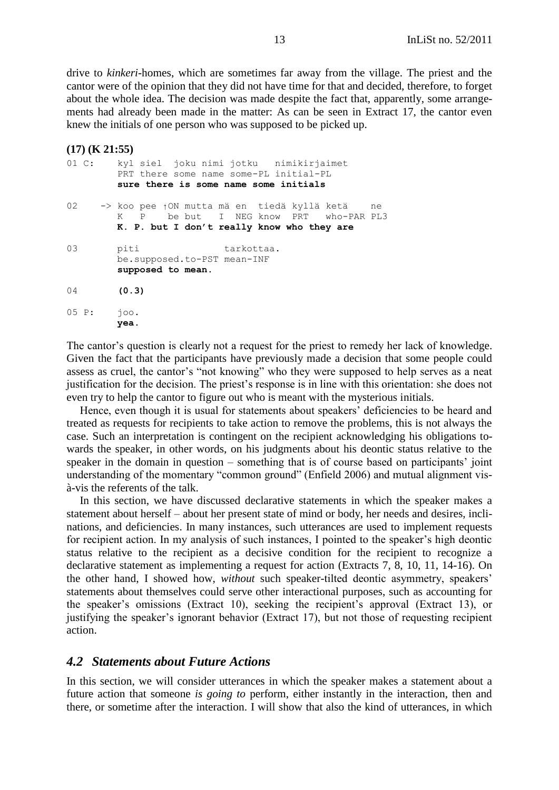drive to *kinkeri*-homes, which are sometimes far away from the village. The priest and the cantor were of the opinion that they did not have time for that and decided, therefore, to forget about the whole idea. The decision was made despite the fact that, apparently, some arrangements had already been made in the matter: As can be seen in Extract 17, the cantor even knew the initials of one person who was supposed to be picked up.

### **(17) (K 21:55)**

|            | 01 C: kyl siel joku nimi jotku nimikirjaimet<br>PRT there some name some-PL initial-PL<br>sure there is some name some initials          |
|------------|------------------------------------------------------------------------------------------------------------------------------------------|
|            | 02 -> koo pee 1ON mutta mä en tiedä kyllä ketä ne<br>K P be but I NEG know PRT who-PAR PL3<br>K. P. but I don't really know who they are |
| 03         | piti<br>tarkottaa.<br>be.supposed.to-PST mean-INF<br>supposed to mean.                                                                   |
| 04         | (0.3)                                                                                                                                    |
| 05 P: 700. | yea.                                                                                                                                     |

The cantor's question is clearly not a request for the priest to remedy her lack of knowledge. Given the fact that the participants have previously made a decision that some people could assess as cruel, the cantor's "not knowing" who they were supposed to help serves as a neat justification for the decision. The priest's response is in line with this orientation: she does not even try to help the cantor to figure out who is meant with the mysterious initials.

Hence, even though it is usual for statements about speakers' deficiencies to be heard and treated as requests for recipients to take action to remove the problems, this is not always the case. Such an interpretation is contingent on the recipient acknowledging his obligations towards the speaker, in other words, on his judgments about his deontic status relative to the speaker in the domain in question – something that is of course based on participants' joint understanding of the momentary "common ground" (Enfield 2006) and mutual alignment visà-vis the referents of the talk.

In this section, we have discussed declarative statements in which the speaker makes a statement about herself – about her present state of mind or body, her needs and desires, inclinations, and deficiencies. In many instances, such utterances are used to implement requests for recipient action. In my analysis of such instances, I pointed to the speaker's high deontic status relative to the recipient as a decisive condition for the recipient to recognize a declarative statement as implementing a request for action (Extracts 7, 8, 10, 11, 14-16). On the other hand, I showed how, *without* such speaker-tilted deontic asymmetry, speakers' statements about themselves could serve other interactional purposes, such as accounting for the speaker's omissions (Extract 10), seeking the recipient's approval (Extract 13), or justifying the speaker's ignorant behavior (Extract 17), but not those of requesting recipient action.

## <span id="page-12-0"></span>*4.2 Statements about Future Actions*

In this section, we will consider utterances in which the speaker makes a statement about a future action that someone *is going to* perform, either instantly in the interaction, then and there, or sometime after the interaction. I will show that also the kind of utterances, in which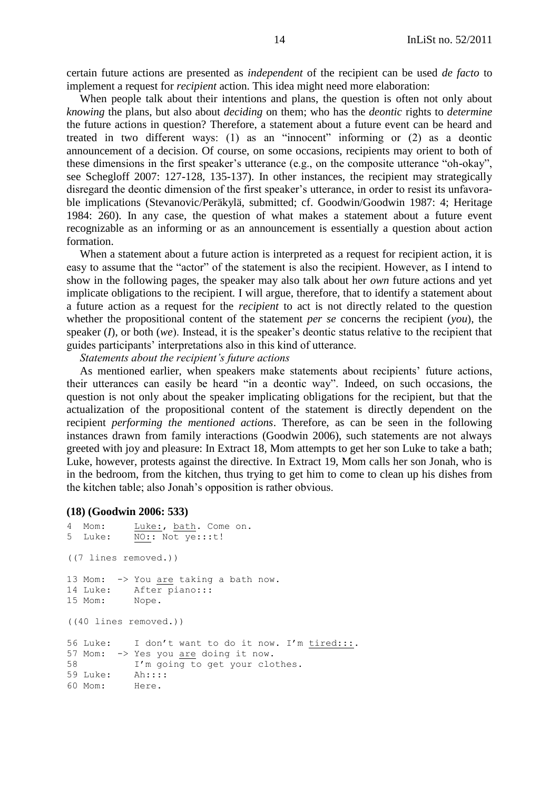certain future actions are presented as *independent* of the recipient can be used *de facto* to implement a request for *recipient* action. This idea might need more elaboration:

When people talk about their intentions and plans, the question is often not only about *knowing* the plans*,* but also about *deciding* on them; who has the *deontic* rights to *determine* the future actions in question? Therefore, a statement about a future event can be heard and treated in two different ways:  $(1)$  as an "innocent" informing or  $(2)$  as a deontic announcement of a decision. Of course, on some occasions, recipients may orient to both of these dimensions in the first speaker's utterance (e.g., on the composite utterance "oh-okay", see Schegloff 2007: 127-128, 135-137). In other instances, the recipient may strategically disregard the deontic dimension of the first speaker's utterance, in order to resist its unfavorable implications (Stevanovic/Peräkylä, submitted; cf. Goodwin/Goodwin 1987: 4; Heritage 1984: 260). In any case, the question of what makes a statement about a future event recognizable as an informing or as an announcement is essentially a question about action formation.

When a statement about a future action is interpreted as a request for recipient action, it is easy to assume that the "actor" of the statement is also the recipient. However, as I intend to show in the following pages, the speaker may also talk about her *own* future actions and yet implicate obligations to the recipient*.* I will argue, therefore, that to identify a statement about a future action as a request for the *recipient* to act is not directly related to the question whether the propositional content of the statement *per se* concerns the recipient (*you*), the speaker (*I*), or both (*we*). Instead, it is the speaker's deontic status relative to the recipient that guides participants' interpretations also in this kind of utterance.

*Statements about the recipient's future actions*

As mentioned earlier, when speakers make statements about recipients' future actions, their utterances can easily be heard "in a deontic way". Indeed, on such occasions, the question is not only about the speaker implicating obligations for the recipient, but that the actualization of the propositional content of the statement is directly dependent on the recipient *performing the mentioned actions*. Therefore, as can be seen in the following instances drawn from family interactions (Goodwin 2006), such statements are not always greeted with joy and pleasure: In Extract 18, Mom attempts to get her son Luke to take a bath; Luke, however, protests against the directive. In Extract 19, Mom calls her son Jonah, who is in the bedroom, from the kitchen, thus trying to get him to come to clean up his dishes from the kitchen table; also Jonah's opposition is rather obvious.

#### **(18) (Goodwin 2006: 533)**

```
4 Mom: Luke:, bath. Come on.
5 Luke: NO:: Not ye:::t!
((7 lines removed.))
13 Mom: -> You are taking a bath now.
14 Luke: After piano:::
15 Mom: Nope.
((40 lines removed.))
56 Luke: I don't want to do it now. I'm tired:::.
57 Mom: -> Yes you are doing it now.
58 I'm going to get your clothes.
59 Luke: Ah::::
60 Mom: Here.
```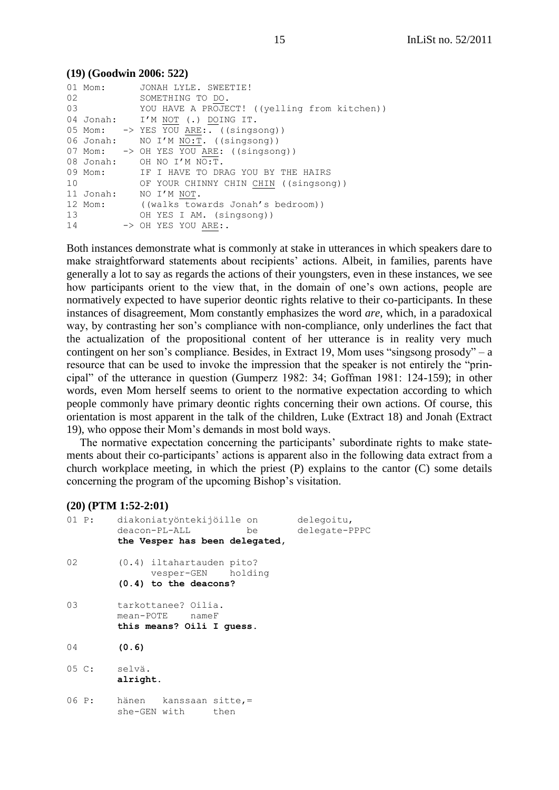#### **(19) (Goodwin 2006: 522)** 01 Mom: JONAH LYLE. SWEETIE! 02 SOMETHING TO DO. 03 YOU HAVE A PROJECT! ((yelling from kitchen)) 04 Jonah: I'M NOT (.) DOING IT. 05 Mom: -> YES YOU ARE:. ((singsong)) 06 Jonah: NO I'M  $\overline{NOT}$ . ((singsong)) 07 Mom: -> OH YES YOU ARE: ((singsong)) 08 Jonah: OH NO I'M NO:T. 09 Mom: IF I HAVE TO DRAG YOU BY THE HAIRS 10 OF YOUR CHINNY CHIN CHIN ((singsong)) 11 Jonah: NO I'M NOT. 12 Mom: ((walks towards Jonah's bedroom)) 13 OH YES I AM. (singsong)) 14 -> OH YES YOU ARE:.

Both instances demonstrate what is commonly at stake in utterances in which speakers dare to make straightforward statements about recipients' actions. Albeit, in families, parents have generally a lot to say as regards the actions of their youngsters, even in these instances, we see how participants orient to the view that, in the domain of one's own actions, people are normatively expected to have superior deontic rights relative to their co-participants. In these instances of disagreement, Mom constantly emphasizes the word *are*, which, in a paradoxical way, by contrasting her son's compliance with non-compliance, only underlines the fact that the actualization of the propositional content of her utterance is in reality very much contingent on her son's compliance. Besides, in Extract 19, Mom uses "singsong prosody" – a resource that can be used to invoke the impression that the speaker is not entirely the "principal" of the utterance in question (Gumperz 1982: 34; Goffman 1981: 124-159); in other words, even Mom herself seems to orient to the normative expectation according to which people commonly have primary deontic rights concerning their own actions. Of course, this orientation is most apparent in the talk of the children, Luke (Extract 18) and Jonah (Extract 19), who oppose their Mom's demands in most bold ways.

The normative expectation concerning the participants' subordinate rights to make statements about their co-participants' actions is apparent also in the following data extract from a church workplace meeting, in which the priest (P) explains to the cantor (C) some details concerning the program of the upcoming Bishop's visitation.

#### **(20) (PTM 1:52-2:01)**

| 01 P: | diakoniatyöntekijöille on<br>deacon-PL-ALL<br>be<br>the Vesper has been delegated, | delegoitu,<br>delegate-PPPC |
|-------|------------------------------------------------------------------------------------|-----------------------------|
| 02    | $(0.4)$ iltahartauden pito?<br>vesper-GEN holding<br>$(0.4)$ to the deacons?       |                             |
| 03    | tarkottanee? Oilia.<br>mean-POTE nameF<br>this means? Oili I quess.                |                             |
| 04    | (0.6)                                                                              |                             |
| 05 C: | selvä.<br>alright.                                                                 |                             |
| 06 P: | hänen kanssaan sitte,=<br>she-GEN with<br>then                                     |                             |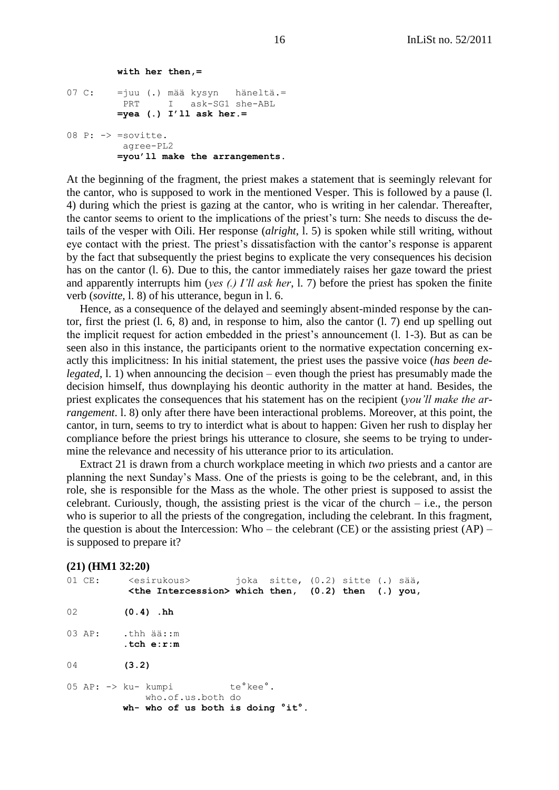```
 with her then,=
07 C: =juu (.) mää kysyn häneltä.=
         PRT I ask-SG1 she-ABL
         =yea (.) I'll ask her.=
08 P: -> =sovitte.
          agree-PL2
         =you'll make the arrangements.
```
At the beginning of the fragment, the priest makes a statement that is seemingly relevant for the cantor, who is supposed to work in the mentioned Vesper. This is followed by a pause (l. 4) during which the priest is gazing at the cantor, who is writing in her calendar. Thereafter, the cantor seems to orient to the implications of the priest's turn: She needs to discuss the details of the vesper with Oili. Her response (*alright*, l. 5) is spoken while still writing, without eye contact with the priest. The priest's dissatisfaction with the cantor's response is apparent by the fact that subsequently the priest begins to explicate the very consequences his decision has on the cantor (l. 6). Due to this, the cantor immediately raises her gaze toward the priest and apparently interrupts him (*yes (.) I'll ask her*, l. 7) before the priest has spoken the finite verb (*sovitte,* l. 8) of his utterance, begun in l. 6.

Hence, as a consequence of the delayed and seemingly absent-minded response by the cantor, first the priest (l. 6, 8) and, in response to him, also the cantor (l. 7) end up spelling out the implicit request for action embedded in the priest's announcement (l. 1-3). But as can be seen also in this instance, the participants orient to the normative expectation concerning exactly this implicitness: In his initial statement, the priest uses the passive voice (*has been delegated*, 1. 1) when announcing the decision – even though the priest has presumably made the decision himself, thus downplaying his deontic authority in the matter at hand. Besides, the priest explicates the consequences that his statement has on the recipient (*you'll make the arrangement*. l. 8) only after there have been interactional problems. Moreover, at this point, the cantor, in turn, seems to try to interdict what is about to happen: Given her rush to display her compliance before the priest brings his utterance to closure, she seems to be trying to undermine the relevance and necessity of his utterance prior to its articulation.

Extract 21 is drawn from a church workplace meeting in which *two* priests and a cantor are planning the next Sunday's Mass. One of the priests is going to be the celebrant, and, in this role, she is responsible for the Mass as the whole. The other priest is supposed to assist the celebrant. Curiously, though, the assisting priest is the vicar of the church  $-$  i.e., the person who is superior to all the priests of the congregation, including the celebrant. In this fragment, the question is about the Intercession: Who – the celebrant (CE) or the assisting priest  $AP$ ) – is supposed to prepare it?

#### **(21) (HM1 32:20)**

| 01 CE: | <esirukous></esirukous>                                   | joka sitte, (0.2) sitte (.) sää, |  |  |
|--------|-----------------------------------------------------------|----------------------------------|--|--|
|        | $\zeta$ the Intercession> which then, (0.2) then (.) you, |                                  |  |  |
|        |                                                           |                                  |  |  |

- 02 **(0.4) .hh**
- 03 AP: .thh ää:: m
- **.tch e:r:m**
- 04 **(3.2)**

05 AP: -> ku- kumpi te°kee°. who.of.us.both do **wh- who of us both is doing °it°.**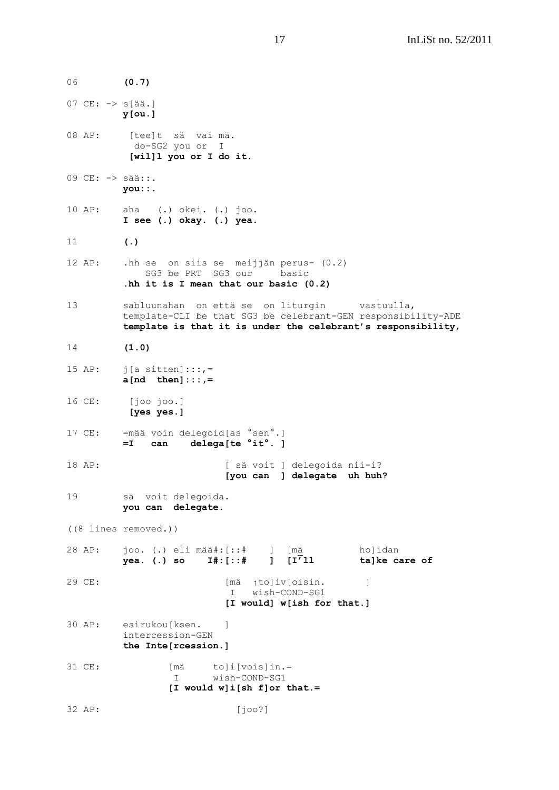06 **(0.7)** 07 CE: -> s[ää.] **y[ou.]** 08 AP: [tee]t sä vai mä. do-SG2 you or I **[wil]l you or I do it.** 09 CE: -> sää::. **you::.** 10 AP: aha (.) okei. (.) joo. **I see (.) okay. (.) yea.** 11 **(.)** 12 AP: .hh se on siis se meijjän perus- (0.2) SG3 be PRT SG3 our basic **.hh it is I mean that our basic (0.2)** 13 sabluunahan on että se on liturgin vastuulla, template-CLI be that SG3 be celebrant-GEN responsibility-ADE **template is that it is under the celebrant's responsibility**, 14 **(1.0)** 15 AP:  $j[a \text{ sitten}]:::,$  **a[nd then]:::,=** 16 CE: [joo joo.] **[yes yes.]** 17 CE: =mää voin delegoid[as °sen°.] **=I can delega[te °it°. ]** 18 AP: [ sä voit ] delegoida nii-i? **[you can ] delegate uh huh?** 19 sä voit delegoida. **you can delegate.** ((8 lines removed.)) 28 AP: joo. (.) eli mää#:[::# ] [mä ho]idan **yea. (.) so I#:[::# ] [I'll ta]ke care of**  29 CE: [mä ↑to]iv[oisin. ] I wish-COND-SG1 **[I would] w[ish for that.]** 30 AP: esirukou[ksen. ] intercession-GEN **the Inte[rcession.]** 31 CE: [mä to]i[vois]in.= I wish-COND-SG1 **[I would w]i[sh f]or that.=** 32 AP: [joo?]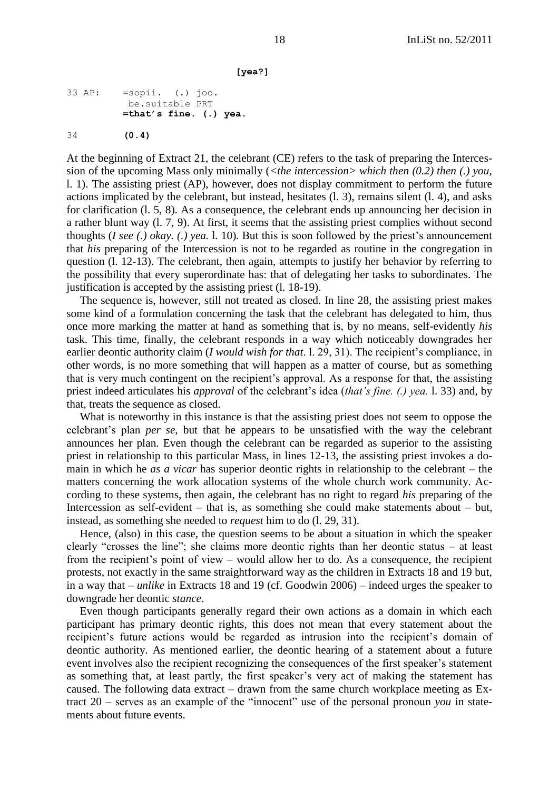```
 [yea?]
```

```
33 AP: =sopii. (.) joo.
          be.suitable PRT
          =that's fine. (.) yea.
34 (0.4)
```
At the beginning of Extract 21, the celebrant (CE) refers to the task of preparing the Intercession of the upcoming Mass only minimally (*<the intercession> which then (0.2) then (.) you,*  l. 1). The assisting priest (AP), however, does not display commitment to perform the future actions implicated by the celebrant, but instead, hesitates (l. 3), remains silent (l. 4), and asks for clarification (l. 5, 8). As a consequence, the celebrant ends up announcing her decision in a rather blunt way (l. 7, 9). At first, it seems that the assisting priest complies without second thoughts (*I see (.) okay. (.) yea.* l*.* 10)*.* But this is soon followed by the priest's announcement that *his* preparing of the Intercession is not to be regarded as routine in the congregation in question (l. 12-13). The celebrant, then again, attempts to justify her behavior by referring to the possibility that every superordinate has: that of delegating her tasks to subordinates. The justification is accepted by the assisting priest (l. 18-19).

The sequence is, however, still not treated as closed. In line 28, the assisting priest makes some kind of a formulation concerning the task that the celebrant has delegated to him, thus once more marking the matter at hand as something that is, by no means, self-evidently *his*  task. This time, finally, the celebrant responds in a way which noticeably downgrades her earlier deontic authority claim (*I would wish for that*. l. 29, 31). The recipient's compliance, in other words, is no more something that will happen as a matter of course, but as something that is very much contingent on the recipient's approval. As a response for that, the assisting priest indeed articulates his *approval* of the celebrant's idea (*that's fine. (.) yea.* l. 33) and, by that, treats the sequence as closed.

What is noteworthy in this instance is that the assisting priest does not seem to oppose the celebrant's plan *per se*, but that he appears to be unsatisfied with the way the celebrant announces her plan. Even though the celebrant can be regarded as superior to the assisting priest in relationship to this particular Mass, in lines 12-13, the assisting priest invokes a domain in which he *as a vicar* has superior deontic rights in relationship to the celebrant – the matters concerning the work allocation systems of the whole church work community. According to these systems, then again, the celebrant has no right to regard *his* preparing of the Intercession as self-evident – that is, as something she could make statements about – but, instead, as something she needed to *request* him to do (l. 29, 31).

Hence, (also) in this case, the question seems to be about a situation in which the speaker clearly "crosses the line"; she claims more deontic rights than her deontic status – at least from the recipient's point of view – would allow her to do. As a consequence, the recipient protests, not exactly in the same straightforward way as the children in Extracts 18 and 19 but, in a way that – *unlike* in Extracts 18 and 19 (cf. Goodwin 2006) – indeed urges the speaker to downgrade her deontic *stance*.

Even though participants generally regard their own actions as a domain in which each participant has primary deontic rights, this does not mean that every statement about the recipient's future actions would be regarded as intrusion into the recipient's domain of deontic authority. As mentioned earlier, the deontic hearing of a statement about a future event involves also the recipient recognizing the consequences of the first speaker's statement as something that, at least partly, the first speaker's very act of making the statement has caused. The following data extract – drawn from the same church workplace meeting as Extract  $20$  – serves as an example of the "innocent" use of the personal pronoun *you* in statements about future events.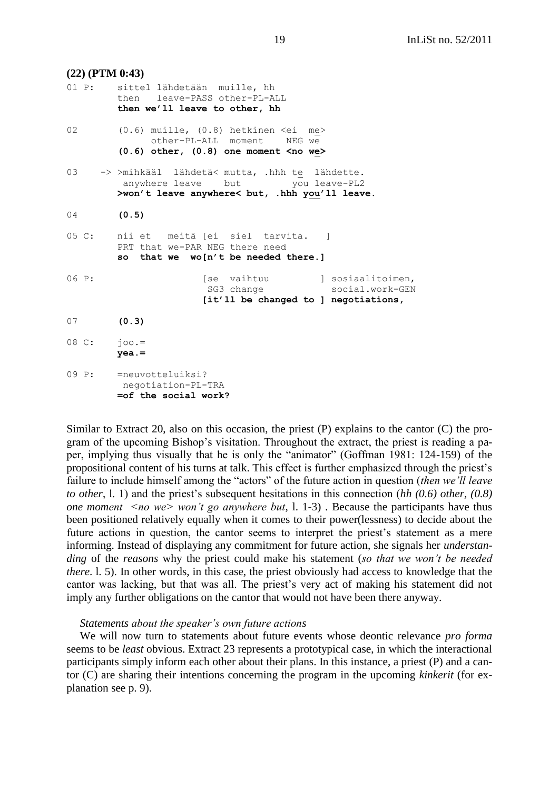| $(22)$ (PTM 0:43)                    |                                                                                                                                     |
|--------------------------------------|-------------------------------------------------------------------------------------------------------------------------------------|
|                                      | 01 P: sittel lähdetään muille, hh<br>then leave-PASS other-PL-ALL<br>then we'll leave to other, hh                                  |
| 02                                   | $(0.6)$ muille, $(0.8)$ hetkinen $\leq$ i me><br>other-PL-ALL moment<br>NEG we<br>$(0.6)$ other, $(0.8)$ one moment <no we=""></no> |
| 03                                   | -> >mihkääl lähdetä< mutta, .hhh te lähdette.<br>anywhere leave but you leave-PL2<br>>won't leave anywhere< but, .hhh you'll leave. |
| 04                                   | (0.5)                                                                                                                               |
|                                      | 05 C: nii et meitä [ei siel tarvita. ]<br>PRT that we-PAR NEG there need<br>so that we wo[n't be needed there.]                     |
| 06 P:                                | [se vaihtuu   sosiaalitoimen,<br>social.work-GEN<br>SG3 change<br>[it'll be changed to ] negotiations,                              |
| 07                                   | (0.3)                                                                                                                               |
| $08 \, \text{C}$ : $\frac{1}{100}$ . | $yea. =$                                                                                                                            |
|                                      | 09 P: = neuvotteluiksi?<br>negotiation-PL-TRA<br>=of the social work?                                                               |

Similar to Extract 20, also on this occasion, the priest (P) explains to the cantor (C) the program of the upcoming Bishop's visitation. Throughout the extract, the priest is reading a paper, implying thus visually that he is only the "animator" (Goffman 1981: 124-159) of the propositional content of his turns at talk. This effect is further emphasized through the priest's failure to include himself among the "actors" of the future action in question *(then we'll leave to other*, l. 1) and the priest's subsequent hesitations in this connection (*hh (0.6) other, (0.8) one moment <no we> won't go anywhere but*, l. 1-3) . Because the participants have thus been positioned relatively equally when it comes to their power(lessness) to decide about the future actions in question, the cantor seems to interpret the priest's statement as a mere informing. Instead of displaying any commitment for future action, she signals her *understanding* of the *reasons* why the priest could make his statement (*so that we won't be needed there*. l. 5). In other words, in this case, the priest obviously had access to knowledge that the cantor was lacking, but that was all. The priest's very act of making his statement did not imply any further obligations on the cantor that would not have been there anyway.

#### *Statements about the speaker's own future actions*

We will now turn to statements about future events whose deontic relevance *pro forma* seems to be *least* obvious. Extract 23 represents a prototypical case, in which the interactional participants simply inform each other about their plans. In this instance, a priest (P) and a cantor (C) are sharing their intentions concerning the program in the upcoming *kinkerit* (for explanation see p. 9).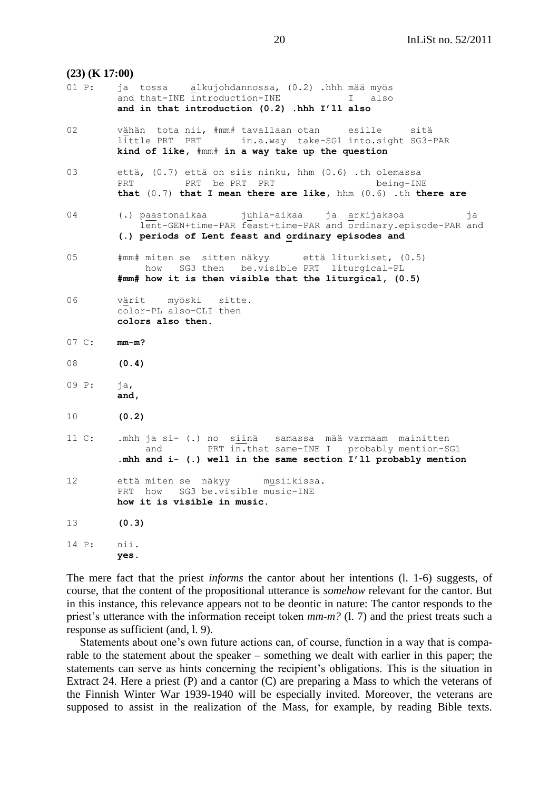# **(23) (K 17:00)** 01 P: ja tossa alkujohdannossa, (0.2) .hhh mää myös and that-INE introduction-INE I also **and in that introduction (0.2) .hhh I'll also** 02 vähän tota nii, #mm# tavallaan otan esille sitä little PRT PRT in.a.way take-SG1 into.sight SG3-PAR **kind of like,** #mm# **in a way take up the question**  03 että, (0.7) että on siis ninku, hhm (0.6) .th olemassa PRT PRT be PRT PRT PRT being-INE **that** (0.7) **that I mean there are like,** hhm (0.6) .th **there are** 04 (.) paastonaikaa juhla-aikaa ja arkijaksoa ja lent-GEN+time-PAR feast+time-PAR and ordinary.episode-PAR and **(.) periods of Lent feast and ordinary episodes and** 05 #mm# miten se sitten näkyy että liturkiset, (0.5) how SG3 then be.visible PRT liturgical-PL  **#mm# how it is then visible that the liturgical, (0.5)** 06 värit myöski sitte. color-PL also-CLI then **colors also then.** 07 C: **mm-m?** 08 **(0.4)** 09 P: ja, **and,** 10 **(0.2)** 11 C: .mhh ja si- (.) no siinä samassa mää varmaam mainitten and PRT  $in.Hat$  same-INE I probably mention-SG1 **.mhh and i- (.) well in the same section I'll probably mention** 12 että miten se näkyy musiikissa. PRT how SG3 be.visible music-INE **how it is visible in music.** 13 **(0.3)** 14 P: nii. **yes.**

The mere fact that the priest *informs* the cantor about her intentions (l. 1-6) suggests, of course, that the content of the propositional utterance is *somehow* relevant for the cantor. But in this instance, this relevance appears not to be deontic in nature: The cantor responds to the priest's utterance with the information receipt token *mm-m?* (l. 7) and the priest treats such a response as sufficient (and, l. 9).

Statements about one's own future actions can, of course, function in a way that is comparable to the statement about the speaker – something we dealt with earlier in this paper; the statements can serve as hints concerning the recipient's obligations. This is the situation in Extract 24. Here a priest (P) and a cantor (C) are preparing a Mass to which the veterans of the Finnish Winter War 1939-1940 will be especially invited. Moreover, the veterans are supposed to assist in the realization of the Mass, for example, by reading Bible texts.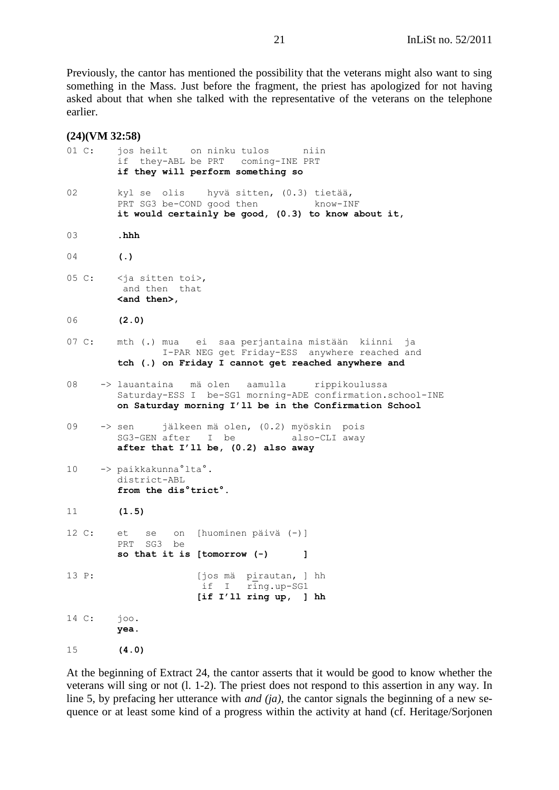Previously, the cantor has mentioned the possibility that the veterans might also want to sing something in the Mass. Just before the fragment, the priest has apologized for not having asked about that when she talked with the representative of the veterans on the telephone earlier.

#### **(24)(VM 32:58)**

| 01 C: | jos heilt on ninku tulos<br>niin<br>if they-ABL be PRT coming-INE PRT                                                                                             |
|-------|-------------------------------------------------------------------------------------------------------------------------------------------------------------------|
|       | if they will perform something so                                                                                                                                 |
| 02    | kyl se olis hyvä sitten, (0.3) tietää,<br>PRT SG3 be-COND good then know-INF<br>it would certainly be good, (0.3) to know about it,                               |
| 03    | .hhh                                                                                                                                                              |
| 04    | $\left( . \right)$                                                                                                                                                |
|       | 05 C: <ja sitten="" toi="">,<br/>and then that<br/><and then="">,</and></ja>                                                                                      |
| 06    | (2.0)                                                                                                                                                             |
| 07 C: | mth (.) mua ei saa perjantaina mistään kiinni ja<br>I-PAR NEG get Friday-ESS anywhere reached and                                                                 |
|       | tch (.) on Friday I cannot get reached anywhere and                                                                                                               |
| 08    | -> lauantaina mäolen aamulla rippikoulussa<br>Saturday-ESS I be-SG1 morning-ADE confirmation.school-INE<br>on Saturday morning I'll be in the Confirmation School |
| 09    | -> sen jälkeen mä olen, (0.2) myöskin pois<br>SG3-GEN after I be also-CLI away<br>after that I'll be, (0.2) also away                                             |
| 10    | -> paikkakunna°lta°.<br>district-ABL<br>from the dis <sup>°</sup> trict <sup>°</sup> .                                                                            |
| 11    | (1.5)                                                                                                                                                             |
| 12 C: | se on [huominen päivä (-)]<br>et<br>SG3 be<br>PRT<br>so that it is [tomorrow $(-)$<br>1                                                                           |
| 13 P: | [jos mä<br>pirautan, ] hh<br>if<br>ring.up-SG1<br>Ι<br>[if I'll ring up,<br>$\mathbf{1}$<br>hh                                                                    |
| 14 C: | joo.<br>yea.                                                                                                                                                      |
| 15    | (4.0)                                                                                                                                                             |

At the beginning of Extract 24, the cantor asserts that it would be good to know whether the veterans will sing or not (l. 1-2). The priest does not respond to this assertion in any way. In line 5, by prefacing her utterance with *and (ja)*, the cantor signals the beginning of a new sequence or at least some kind of a progress within the activity at hand (cf. Heritage/Sorjonen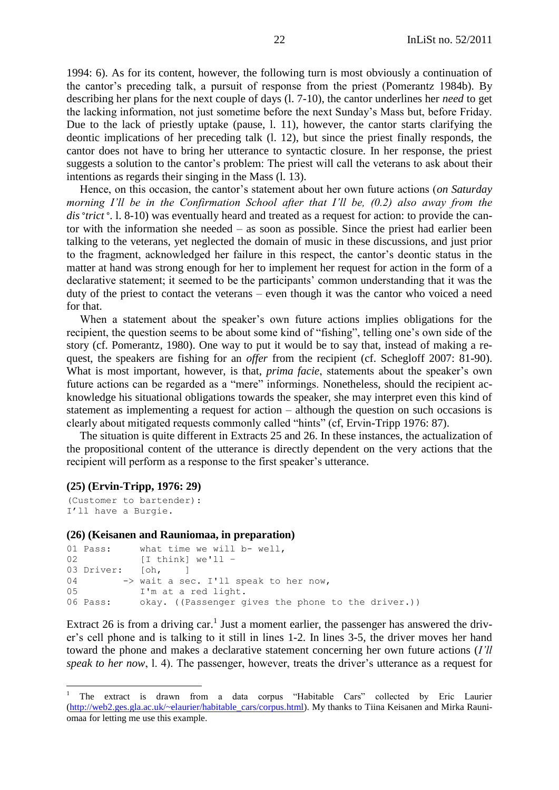1994: 6). As for its content, however, the following turn is most obviously a continuation of the cantor's preceding talk, a pursuit of response from the priest (Pomerantz 1984b). By describing her plans for the next couple of days (l. 7-10), the cantor underlines her *need* to get the lacking information, not just sometime before the next Sunday's Mass but, before Friday. Due to the lack of priestly uptake (pause, l. 11), however, the cantor starts clarifying the deontic implications of her preceding talk (l. 12), but since the priest finally responds, the cantor does not have to bring her utterance to syntactic closure. In her response, the priest suggests a solution to the cantor's problem: The priest will call the veterans to ask about their intentions as regards their singing in the Mass (l. 13).

Hence, on this occasion, the cantor's statement about her own future actions (*on Saturday morning I'll be in the Confirmation School after that I'll be, (0.2) also away from the dis°trict°*. l. 8-10) was eventually heard and treated as a request for action: to provide the cantor with the information she needed – as soon as possible. Since the priest had earlier been talking to the veterans, yet neglected the domain of music in these discussions, and just prior to the fragment, acknowledged her failure in this respect, the cantor's deontic status in the matter at hand was strong enough for her to implement her request for action in the form of a declarative statement; it seemed to be the participants' common understanding that it was the duty of the priest to contact the veterans – even though it was the cantor who voiced a need for that.

When a statement about the speaker's own future actions implies obligations for the recipient, the question seems to be about some kind of "fishing", telling one's own side of the story (cf. Pomerantz, 1980). One way to put it would be to say that, instead of making a request, the speakers are fishing for an *offer* from the recipient (cf. Schegloff 2007: 81-90). What is most important, however, is that, *prima facie*, statements about the speaker's own future actions can be regarded as a "mere" informings. Nonetheless, should the recipient acknowledge his situational obligations towards the speaker, she may interpret even this kind of statement as implementing a request for action – although the question on such occasions is clearly about mitigated requests commonly called "hints" (cf, Ervin-Tripp 1976: 87).

The situation is quite different in Extracts 25 and 26. In these instances, the actualization of the propositional content of the utterance is directly dependent on the very actions that the recipient will perform as a response to the first speaker's utterance.

#### **(25) (Ervin-Tripp, 1976: 29)**

```
(Customer to bartender):
I'll have a Burgie.
```
 $\overline{a}$ 

#### **(26) (Keisanen and Rauniomaa, in preparation)**

```
01 Pass: what time we will b- well,
02 [I think] we'll -
03 Driver: [oh, ]
04 -> wait a sec. I'll speak to her now,
05 I'm at a red light.
06 Pass: okay. ((Passenger gives the phone to the driver.))
```
Extract 26 is from a driving car.<sup>1</sup> Just a moment earlier, the passenger has answered the driver's cell phone and is talking to it still in lines 1-2. In lines 3-5, the driver moves her hand toward the phone and makes a declarative statement concerning her own future actions (*I'll speak to her now*, l. 4). The passenger, however, treats the driver's utterance as a request for

The extract is drawn from a data corpus "Habitable Cars" collected by Eric Laurier [\(http://web2.ges.gla.ac.uk/~elaurier/habitable\\_cars/corpus.html\)](http://web2.ges.gla.ac.uk/~elaurier/habitable_cars/corpus.html). My thanks to Tiina Keisanen and Mirka Rauniomaa for letting me use this example.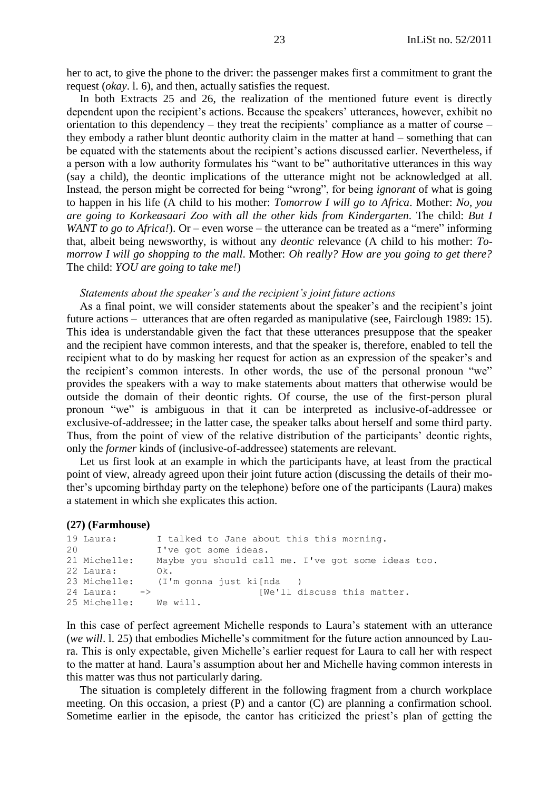her to act, to give the phone to the driver: the passenger makes first a commitment to grant the request (*okay*. l. 6), and then, actually satisfies the request.

In both Extracts 25 and 26, the realization of the mentioned future event is directly dependent upon the recipient's actions. Because the speakers' utterances, however, exhibit no orientation to this dependency – they treat the recipients' compliance as a matter of course – they embody a rather blunt deontic authority claim in the matter at hand – something that can be equated with the statements about the recipient's actions discussed earlier. Nevertheless, if a person with a low authority formulates his "want to be" authoritative utterances in this way (say a child), the deontic implications of the utterance might not be acknowledged at all. Instead, the person might be corrected for being "wrong", for being *ignorant* of what is going to happen in his life (A child to his mother: *Tomorrow I will go to Africa*. Mother: *No, you are going to Korkeasaari Zoo with all the other kids from Kindergarten*. The child: *But I WANT to go to Africa!*). Or – even worse – the utterance can be treated as a "mere" informing that, albeit being newsworthy, is without any *deontic* relevance (A child to his mother: *Tomorrow I will go shopping to the mall*. Mother: *Oh really? How are you going to get there?* The child: *YOU are going to take me!*)

### *Statements about the speaker's and the recipient's joint future actions*

As a final point, we will consider statements about the speaker's and the recipient's joint future actions – utterances that are often regarded as manipulative (see, Fairclough 1989: 15). This idea is understandable given the fact that these utterances presuppose that the speaker and the recipient have common interests, and that the speaker is, therefore, enabled to tell the recipient what to do by masking her request for action as an expression of the speaker's and the recipient's common interests. In other words, the use of the personal pronoun "we" provides the speakers with a way to make statements about matters that otherwise would be outside the domain of their deontic rights. Of course, the use of the first-person plural pronoun "we" is ambiguous in that it can be interpreted as inclusive-of-addressee or exclusive-of-addressee; in the latter case, the speaker talks about herself and some third party. Thus, from the point of view of the relative distribution of the participants' deontic rights, only the *former* kinds of (inclusive-of-addressee) statements are relevant.

Let us first look at an example in which the participants have, at least from the practical point of view, already agreed upon their joint future action (discussing the details of their mother's upcoming birthday party on the telephone) before one of the participants (Laura) makes a statement in which she explicates this action.

#### **(27) (Farmhouse)**

```
19 Laura: I talked to Jane about this this morning. 
20 I've got some ideas.
21 Michelle: Maybe you should call me. I've got some ideas too. 
22 Laura: Ok.
23 Michelle: (I'm gonna just ki[nda )
24 Laura: -> [We'll discuss this matter.
25 Michelle: We will.
```
In this case of perfect agreement Michelle responds to Laura's statement with an utterance (*we will*. l. 25) that embodies Michelle's commitment for the future action announced by Laura. This is only expectable, given Michelle's earlier request for Laura to call her with respect to the matter at hand. Laura's assumption about her and Michelle having common interests in this matter was thus not particularly daring.

The situation is completely different in the following fragment from a church workplace meeting. On this occasion, a priest (P) and a cantor (C) are planning a confirmation school. Sometime earlier in the episode, the cantor has criticized the priest's plan of getting the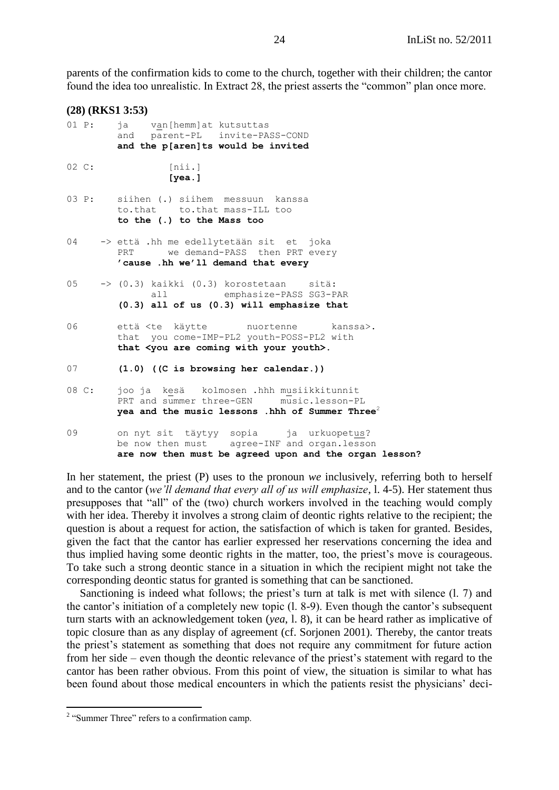parents of the confirmation kids to come to the church, together with their children; the cantor found the idea too unrealistic. In Extract 28, the priest asserts the "common" plan once more.

|                 |       | $(28)$ (RKS1 3:53)                                                                                                                                                |
|-----------------|-------|-------------------------------------------------------------------------------------------------------------------------------------------------------------------|
| 01 P:           |       | ja van [hemm]at kutsuttas<br>and parent-PL invite-PASS-COND<br>and the p[aren]ts would be invited                                                                 |
| $02 \text{ C:}$ |       | [nii.]<br>[ <i>y</i> ea.]                                                                                                                                         |
|                 | 03 P: | siihen (.) siihem messuun kanssa<br>to.that to.that mass-ILL too<br>to the (.) to the Mass too                                                                    |
| 04              |       | -> että .hh me edellytetään sit et joka<br>PRT we demand-PASS then PRT every<br>'cause .hh we'll demand that every                                                |
| 05              |       | -> (0.3) kaikki (0.3) korostetaan<br>sitä:<br>emphasize-PASS SG3-PAR<br>all<br>$(0.3)$ all of us $(0.3)$ will emphasize that                                      |
| 06              |       | että <te käytte="" nuortenne<br="">kanssa&gt;.<br/>that you come-IMP-PL2 youth-POSS-PL2 with<br/>that <you are="" coming="" with="" your="" youth="">.</you></te> |
| 07              |       | $(1.0)$ ((C is browsing her calendar.))                                                                                                                           |
| 08 C:           |       | joo ja kesä kolmosen .hhh musiikkitunnit<br>PRT and summer three-GEN music.lesson-PL<br>yea and the music lessons .hhh of Summer Three <sup>2</sup>               |
| 09              |       | on nyt sit täytyy sopia ja urkuopetus?<br>be now then must agree-INF and organ.lesson<br>are now then must be agreed upon and the organ lesson?                   |

In her statement, the priest (P) uses to the pronoun *we* inclusively, referring both to herself and to the cantor (*we'll demand that every all of us will emphasize*, l. 4-5). Her statement thus presupposes that "all" of the (two) church workers involved in the teaching would comply with her idea. Thereby it involves a strong claim of deontic rights relative to the recipient; the question is about a request for action, the satisfaction of which is taken for granted. Besides, given the fact that the cantor has earlier expressed her reservations concerning the idea and thus implied having some deontic rights in the matter, too, the priest's move is courageous. To take such a strong deontic stance in a situation in which the recipient might not take the corresponding deontic status for granted is something that can be sanctioned.

Sanctioning is indeed what follows; the priest's turn at talk is met with silence (l. 7) and the cantor's initiation of a completely new topic (l. 8-9). Even though the cantor's subsequent turn starts with an acknowledgement token (*yea*, l. 8), it can be heard rather as implicative of topic closure than as any display of agreement (cf. Sorjonen 2001). Thereby, the cantor treats the priest's statement as something that does not require any commitment for future action from her side – even though the deontic relevance of the priest's statement with regard to the cantor has been rather obvious. From this point of view, the situation is similar to what has been found about those medical encounters in which the patients resist the physicians' deci-

<sup>&</sup>lt;sup>2</sup> "Summer Three" refers to a confirmation camp.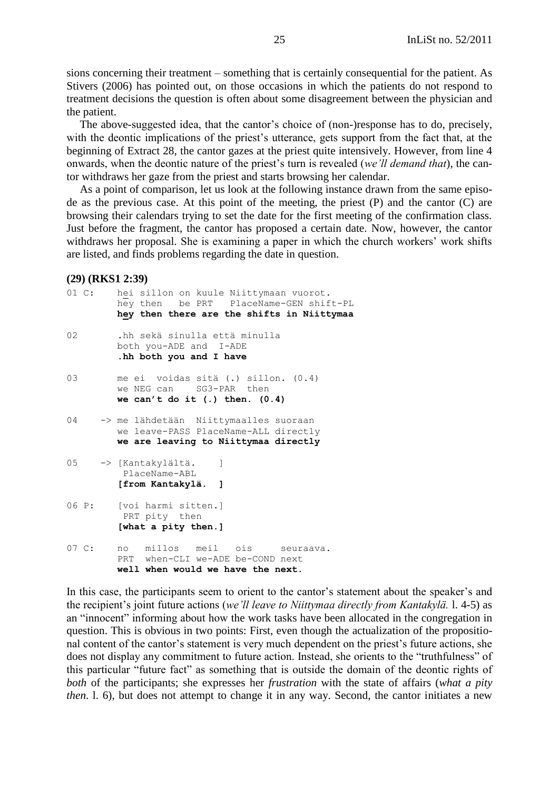sions concerning their treatment – something that is certainly consequential for the patient. As Stivers (2006) has pointed out, on those occasions in which the patients do not respond to treatment decisions the question is often about some disagreement between the physician and the patient.

The above-suggested idea, that the cantor's choice of (non-)response has to do, precisely, with the deontic implications of the priest's utterance, gets support from the fact that, at the beginning of Extract 28, the cantor gazes at the priest quite intensively. However, from line 4 onwards, when the deontic nature of the priest's turn is revealed (*we'll demand that*), the cantor withdraws her gaze from the priest and starts browsing her calendar.

As a point of comparison, let us look at the following instance drawn from the same episode as the previous case. At this point of the meeting, the priest (P) and the cantor (C) are browsing their calendars trying to set the date for the first meeting of the confirmation class. Just before the fragment, the cantor has proposed a certain date. Now, however, the cantor withdraws her proposal. She is examining a paper in which the church workers' work shifts are listed, and finds problems regarding the date in question.

### **(29) (RKS1 2:39)**

| 01 C:            |       | hei sillon on kuule Niittymaan vuorot.<br>hey then be PRT PlaceName-GEN shift-PL<br>hey then there are the shifts in Niittymaa |
|------------------|-------|--------------------------------------------------------------------------------------------------------------------------------|
| 02               |       | .hh sekä sinulla että minulla<br>both you-ADE and I-ADE<br>.hh both you and I have                                             |
| 03               |       | me ei voidas sitä (.) sillon. (0.4)<br>we NEG can SG3-PAR then<br>we can't do it $(.)$ then. $(0.4)$                           |
| 04               |       | -> me lähdetään Niittymaalles suoraan<br>we leave-PASS PlaceName-ALL directly<br>we are leaving to Niittymaa directly          |
|                  |       | 05 -> [Kantakylältä.<br>1<br>PlaceName-ABL<br>[from Kantakylä. ]                                                               |
|                  | 06 P: | [voi harmi sitten.]<br>PRT pity then<br>[what a pity then.]                                                                    |
| $07 \text{ C}$ : |       | millos meil ois seuraava.<br>no<br>PRT when-CLI we-ADE be-COND next<br>well when would we have the next.                       |

In this case, the participants seem to orient to the cantor's statement about the speaker's and the recipient's joint future actions (*we'll leave to Niittymaa directly from Kantakylä.* l. 4-5) as an "innocent" informing about how the work tasks have been allocated in the congregation in question. This is obvious in two points: First, even though the actualization of the propositional content of the cantor's statement is very much dependent on the priest's future actions, she does not display any commitment to future action. Instead, she orients to the "truthfulness" of this particular "future fact" as something that is outside the domain of the deontic rights of *both* of the participants; she expresses her *frustration* with the state of affairs (*what a pity then*. l. 6), but does not attempt to change it in any way. Second, the cantor initiates a new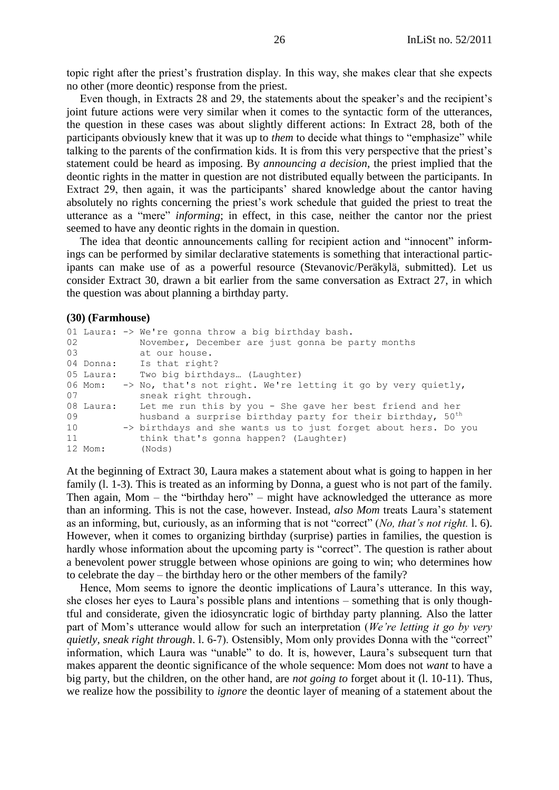topic right after the priest's frustration display. In this way, she makes clear that she expects no other (more deontic) response from the priest.

Even though, in Extracts 28 and 29, the statements about the speaker's and the recipient's joint future actions were very similar when it comes to the syntactic form of the utterances, the question in these cases was about slightly different actions: In Extract 28, both of the participants obviously knew that it was up to *them* to decide what things to "emphasize" while talking to the parents of the confirmation kids. It is from this very perspective that the priest's statement could be heard as imposing. By *announcing a decision*, the priest implied that the deontic rights in the matter in question are not distributed equally between the participants. In Extract 29, then again, it was the participants' shared knowledge about the cantor having absolutely no rights concerning the priest's work schedule that guided the priest to treat the utterance as a "mere" *informing*; in effect, in this case, neither the cantor nor the priest seemed to have any deontic rights in the domain in question.

The idea that deontic announcements calling for recipient action and "innocent" informings can be performed by similar declarative statements is something that interactional participants can make use of as a powerful resource (Stevanovic/Peräkylä, submitted). Let us consider Extract 30, drawn a bit earlier from the same conversation as Extract 27, in which the question was about planning a birthday party.

#### **(30) (Farmhouse)**

|                 |           | 01 Laura: -> We're gonna throw a big birthday bash.                              |
|-----------------|-----------|----------------------------------------------------------------------------------|
| 02 <sub>2</sub> |           | November, December are just gonna be party months                                |
| 03              |           | at our house.                                                                    |
|                 | 04 Donna: | Is that right?                                                                   |
|                 | 05 Laura: | Two big birthdays (Laughter)                                                     |
|                 |           | 06 Mom: $\rightarrow$ No, that's not right. We're letting it go by very quietly, |
| 07              |           | sneak right through.                                                             |
|                 | 08 Laura: | Let me run this by you - She gave her best friend and her                        |
| 09              |           | husband a surprise birthday party for their birthday, 50 <sup>th</sup>           |
| 10              |           | -> birthdays and she wants us to just forget about hers. Do you                  |
| 11              |           | think that's gonna happen? (Laughter)                                            |
|                 | 12 Mom:   | (Nods)                                                                           |

At the beginning of Extract 30, Laura makes a statement about what is going to happen in her family (l. 1-3). This is treated as an informing by Donna, a guest who is not part of the family. Then again, Mom – the "birthday hero" – might have acknowledged the utterance as more than an informing. This is not the case, however. Instead, *also Mom* treats Laura's statement as an informing, but, curiously, as an informing that is not "correct" (*No, that's not right.* 1, 6). However, when it comes to organizing birthday (surprise) parties in families, the question is hardly whose information about the upcoming party is "correct". The question is rather about a benevolent power struggle between whose opinions are going to win; who determines how to celebrate the day – the birthday hero or the other members of the family?

Hence, Mom seems to ignore the deontic implications of Laura's utterance. In this way, she closes her eyes to Laura's possible plans and intentions – something that is only thoughtful and considerate, given the idiosyncratic logic of birthday party planning. Also the latter part of Mom's utterance would allow for such an interpretation (*We're letting it go by very quietly, sneak right through.* 1. 6-7). Ostensibly, Mom only provides Donna with the "correct" information, which Laura was "unable" to do. It is, however, Laura's subsequent turn that makes apparent the deontic significance of the whole sequence: Mom does not *want* to have a big party, but the children, on the other hand, are *not going to* forget about it (l. 10-11). Thus, we realize how the possibility to *ignore* the deontic layer of meaning of a statement about the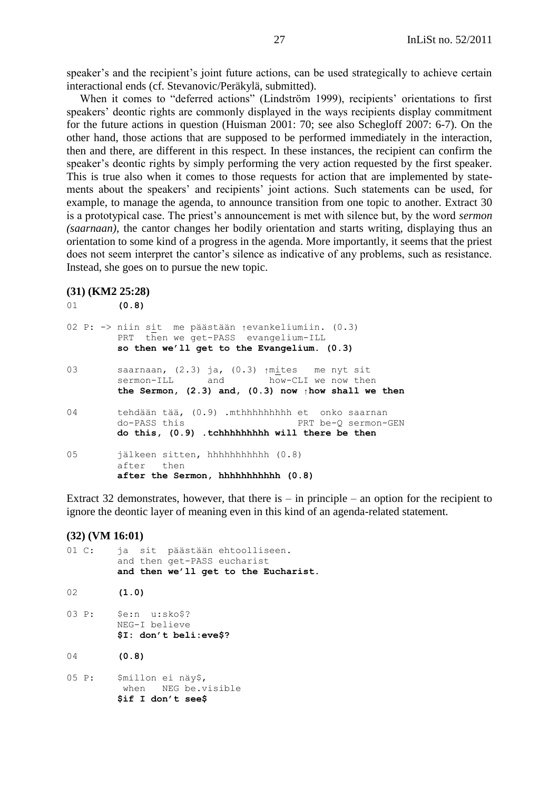speaker's and the recipient's joint future actions, can be used strategically to achieve certain interactional ends (cf. Stevanovic/Peräkylä, submitted).

When it comes to "deferred actions" (Lindström 1999), recipients' orientations to first speakers' deontic rights are commonly displayed in the ways recipients display commitment for the future actions in question (Huisman 2001: 70; see also Schegloff 2007: 6-7). On the other hand, those actions that are supposed to be performed immediately in the interaction, then and there, are different in this respect. In these instances, the recipient can confirm the speaker's deontic rights by simply performing the very action requested by the first speaker. This is true also when it comes to those requests for action that are implemented by statements about the speakers' and recipients' joint actions. Such statements can be used, for example, to manage the agenda, to announce transition from one topic to another. Extract 30 is a prototypical case. The priest's announcement is met with silence but, by the word *sermon (saarnaan)*, the cantor changes her bodily orientation and starts writing, displaying thus an orientation to some kind of a progress in the agenda. More importantly, it seems that the priest does not seem interpret the cantor's silence as indicative of any problems, such as resistance. Instead, she goes on to pursue the new topic.

#### **(31) (KM2 25:28)**

| 01  | (0.8)                                                                                                                                                            |
|-----|------------------------------------------------------------------------------------------------------------------------------------------------------------------|
|     | 02 P: -> niin sit  me päästään <sub>1</sub> evankeliumiin. (0.3)<br>PRT then we get-PASS evangelium-ILL<br>so then we'll get to the Evangelium. (0.3)            |
| 0.3 | saarnaan, $(2.3)$ ja, $(0.3)$ $\uparrow$ mites me nyt sit<br>sermon-ILL and how-CLI we now then<br>the Sermon, (2.3) and, (0.3) now $\uparrow$ how shall we then |
| 04  | tehdään tää, (0.9) .mthhhhhhhhh et onko saarnan<br>do-PASS this<br>PRT be-O sermon-GEN<br>do this, (0.9) .tchhhhhhhhh will there be then                         |
| 0.5 | jälkeen sitten, hhhhhhhhhh (0.8)<br>after then<br>after the Sermon, hhhhhhhhhhh (0.8)                                                                            |

Extract 32 demonstrates, however, that there is  $-$  in principle  $-$  an option for the recipient to ignore the deontic layer of meaning even in this kind of an agenda-related statement.

### **(32) (VM 16:01)**

|    | 01 C: | ja sit päästään ehtoolliseen.<br>and then get-PASS eucharist<br>and then we'll get to the Eucharist. |  |
|----|-------|------------------------------------------------------------------------------------------------------|--|
| 02 |       | (1.0)                                                                                                |  |
|    | 03 P: | \$e:n u:sko\$?<br>NEG-I believe<br>\$I: don't beli:eve\$?                                            |  |
| 04 |       | (0.8)                                                                                                |  |
|    | 05 P: | \$millon ei näy\$,<br>when NEG be.visible<br>\$if I don't see\$                                      |  |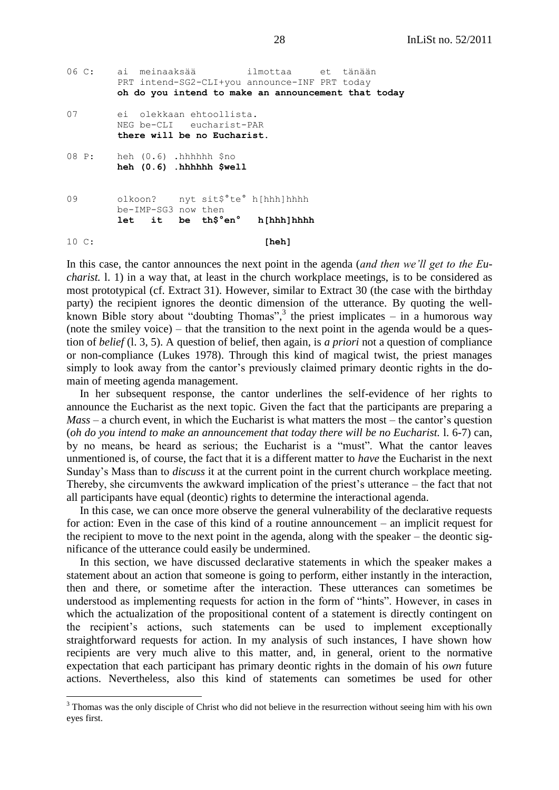```
06 C: ai meinaaksää ilmottaa et tänään
        PRT intend-SG2-CLI+you announce-INF PRT today
        oh do you intend to make an announcement that today
07 ei olekkaan ehtoollista.
        NEG be-CLI eucharist-PAR
        there will be no Eucharist.
08 P: heh (0.6) .hhhhhh $no 
        heh (0.6) .hhhhhh $well
09 olkoon? nyt sit$°te° h[hhh]hhhh
        be-IMP-SG3 now then
        let it be th$°en° h[hhh]hhhh
10 C: [heh]
```
In this case, the cantor announces the next point in the agenda (*and then we'll get to the Eucharist.* l. 1) in a way that, at least in the church workplace meetings, is to be considered as most prototypical (cf. Extract 31). However, similar to Extract 30 (the case with the birthday party) the recipient ignores the deontic dimension of the utterance. By quoting the wellknown Bible story about "doubting Thomas",<sup>3</sup> the priest implicates  $-$  in a humorous way (note the smiley voice) – that the transition to the next point in the agenda would be a question of *belief* (l. 3, 5). A question of belief, then again, is *a priori* not a question of compliance or non-compliance (Lukes 1978). Through this kind of magical twist, the priest manages simply to look away from the cantor's previously claimed primary deontic rights in the domain of meeting agenda management.

In her subsequent response, the cantor underlines the self-evidence of her rights to announce the Eucharist as the next topic. Given the fact that the participants are preparing a *Mass* – a church event, in which the Eucharist is what matters the most – the cantor's question (*oh do you intend to make an announcement that today there will be no Eucharist.* l. 6-7) can, by no means, be heard as serious; the Eucharist is a "must". What the cantor leaves unmentioned is, of course, the fact that it is a different matter to *have* the Eucharist in the next Sunday's Mass than to *discuss* it at the current point in the current church workplace meeting. Thereby, she circumvents the awkward implication of the priest's utterance – the fact that not all participants have equal (deontic) rights to determine the interactional agenda.

In this case, we can once more observe the general vulnerability of the declarative requests for action: Even in the case of this kind of a routine announcement – an implicit request for the recipient to move to the next point in the agenda, along with the speaker – the deontic significance of the utterance could easily be undermined.

In this section, we have discussed declarative statements in which the speaker makes a statement about an action that someone is going to perform, either instantly in the interaction, then and there, or sometime after the interaction. These utterances can sometimes be understood as implementing requests for action in the form of "hints". However, in cases in which the actualization of the propositional content of a statement is directly contingent on the recipient's actions, such statements can be used to implement exceptionally straightforward requests for action. In my analysis of such instances, I have shown how recipients are very much alive to this matter, and, in general, orient to the normative expectation that each participant has primary deontic rights in the domain of his *own* future actions. Nevertheless, also this kind of statements can sometimes be used for other

 $\overline{a}$ 

<sup>&</sup>lt;sup>3</sup> Thomas was the only disciple of Christ who did not believe in the resurrection without seeing him with his own eyes first.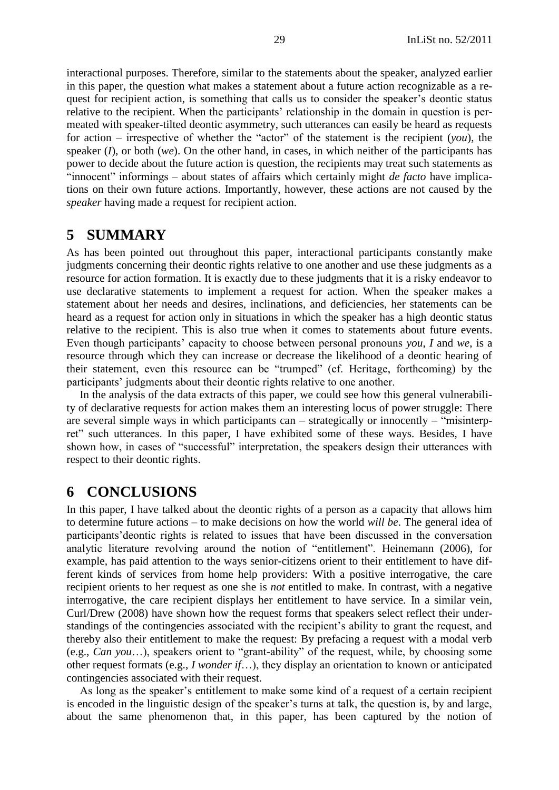interactional purposes. Therefore, similar to the statements about the speaker, analyzed earlier in this paper, the question what makes a statement about a future action recognizable as a request for recipient action, is something that calls us to consider the speaker's deontic status relative to the recipient. When the participants' relationship in the domain in question is permeated with speaker-tilted deontic asymmetry, such utterances can easily be heard as requests for action – irrespective of whether the "actor" of the statement is the recipient  $(you)$ , the speaker (*I*), or both (*we*). On the other hand, in cases, in which neither of the participants has power to decide about the future action is question, the recipients may treat such statements as "innocent" informings – about states of affairs which certainly might *de facto* have implications on their own future actions. Importantly, however, these actions are not caused by the *speaker* having made a request for recipient action.

## <span id="page-28-0"></span>**5 SUMMARY**

As has been pointed out throughout this paper, interactional participants constantly make judgments concerning their deontic rights relative to one another and use these judgments as a resource for action formation. It is exactly due to these judgments that it is a risky endeavor to use declarative statements to implement a request for action. When the speaker makes a statement about her needs and desires, inclinations, and deficiencies, her statements can be heard as a request for action only in situations in which the speaker has a high deontic status relative to the recipient. This is also true when it comes to statements about future events. Even though participants' capacity to choose between personal pronouns *you*, *I* and *we*, is a resource through which they can increase or decrease the likelihood of a deontic hearing of their statement, even this resource can be "trumped" (cf. Heritage, forthcoming) by the participants' judgments about their deontic rights relative to one another.

In the analysis of the data extracts of this paper, we could see how this general vulnerability of declarative requests for action makes them an interesting locus of power struggle: There are several simple ways in which participants can – strategically or innocently – "misinterpret" such utterances. In this paper, I have exhibited some of these ways. Besides, I have shown how, in cases of "successful" interpretation, the speakers design their utterances with respect to their deontic rights.

# <span id="page-28-1"></span>**6 CONCLUSIONS**

In this paper, I have talked about the deontic rights of a person as a capacity that allows him to determine future actions – to make decisions on how the world *will be*. The general idea of participants'deontic rights is related to issues that have been discussed in the conversation analytic literature revolving around the notion of "entitlement". Heinemann (2006), for example, has paid attention to the ways senior-citizens orient to their entitlement to have different kinds of services from home help providers: With a positive interrogative, the care recipient orients to her request as one she is *not* entitled to make. In contrast, with a negative interrogative, the care recipient displays her entitlement to have service. In a similar vein, Curl/Drew (2008) have shown how the request forms that speakers select reflect their understandings of the contingencies associated with the recipient's ability to grant the request, and thereby also their entitlement to make the request: By prefacing a request with a modal verb (e.g., *Can you*...), speakers orient to "grant-ability" of the request, while, by choosing some other request formats (e.g., *I wonder if*…), they display an orientation to known or anticipated contingencies associated with their request.

As long as the speaker's entitlement to make some kind of a request of a certain recipient is encoded in the linguistic design of the speaker's turns at talk, the question is, by and large, about the same phenomenon that, in this paper, has been captured by the notion of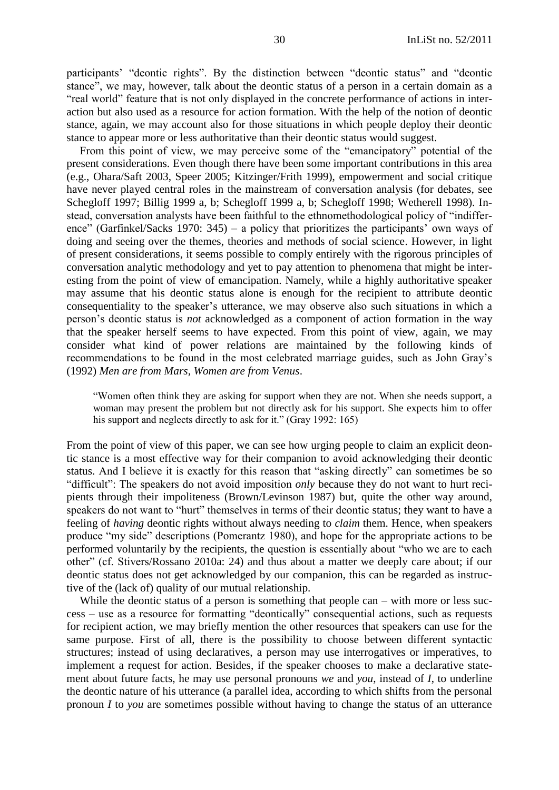participants' "deontic rights". By the distinction between "deontic status" and "deontic stance", we may, however, talk about the deontic status of a person in a certain domain as a "real world" feature that is not only displayed in the concrete performance of actions in interaction but also used as a resource for action formation. With the help of the notion of deontic stance, again, we may account also for those situations in which people deploy their deontic stance to appear more or less authoritative than their deontic status would suggest.

From this point of view, we may perceive some of the "emancipatory" potential of the present considerations. Even though there have been some important contributions in this area (e.g., Ohara/Saft 2003, Speer 2005; Kitzinger/Frith 1999), empowerment and social critique have never played central roles in the mainstream of conversation analysis (for debates, see Schegloff 1997; Billig 1999 a, b; Schegloff 1999 a, b; Schegloff 1998; Wetherell 1998). Instead, conversation analysts have been faithful to the ethnomethodological policy of "indifference" (Garfinkel/Sacks 1970: 345) – a policy that prioritizes the participants' own ways of doing and seeing over the themes, theories and methods of social science. However, in light of present considerations, it seems possible to comply entirely with the rigorous principles of conversation analytic methodology and yet to pay attention to phenomena that might be interesting from the point of view of emancipation. Namely, while a highly authoritative speaker may assume that his deontic status alone is enough for the recipient to attribute deontic consequentiality to the speaker's utterance, we may observe also such situations in which a person's deontic status is *not* acknowledged as a component of action formation in the way that the speaker herself seems to have expected. From this point of view, again, we may consider what kind of power relations are maintained by the following kinds of recommendations to be found in the most celebrated marriage guides, such as John Gray's (1992) *Men are from Mars, Women are from Venus*.

―Women often think they are asking for support when they are not. When she needs support, a woman may present the problem but not directly ask for his support. She expects him to offer his support and neglects directly to ask for it." (Gray 1992: 165)

From the point of view of this paper, we can see how urging people to claim an explicit deontic stance is a most effective way for their companion to avoid acknowledging their deontic status. And I believe it is exactly for this reason that "asking directly" can sometimes be so "difficult": The speakers do not avoid imposition *only* because they do not want to hurt recipients through their impoliteness (Brown/Levinson 1987) but, quite the other way around, speakers do not want to "hurt" themselves in terms of their deontic status; they want to have a feeling of *having* deontic rights without always needing to *claim* them. Hence, when speakers produce "my side" descriptions (Pomerantz 1980), and hope for the appropriate actions to be performed voluntarily by the recipients, the question is essentially about "who we are to each other" (cf. Stivers/Rossano 2010a: 24) and thus about a matter we deeply care about; if our deontic status does not get acknowledged by our companion, this can be regarded as instructive of the (lack of) quality of our mutual relationship.

While the deontic status of a person is something that people can – with more or less suc $cess - use$  as a resource for formatting "deontically" consequential actions, such as requests for recipient action, we may briefly mention the other resources that speakers can use for the same purpose. First of all, there is the possibility to choose between different syntactic structures; instead of using declaratives, a person may use interrogatives or imperatives, to implement a request for action. Besides, if the speaker chooses to make a declarative statement about future facts, he may use personal pronouns *we* and *you*, instead of *I*, to underline the deontic nature of his utterance (a parallel idea, according to which shifts from the personal pronoun *I* to *you* are sometimes possible without having to change the status of an utterance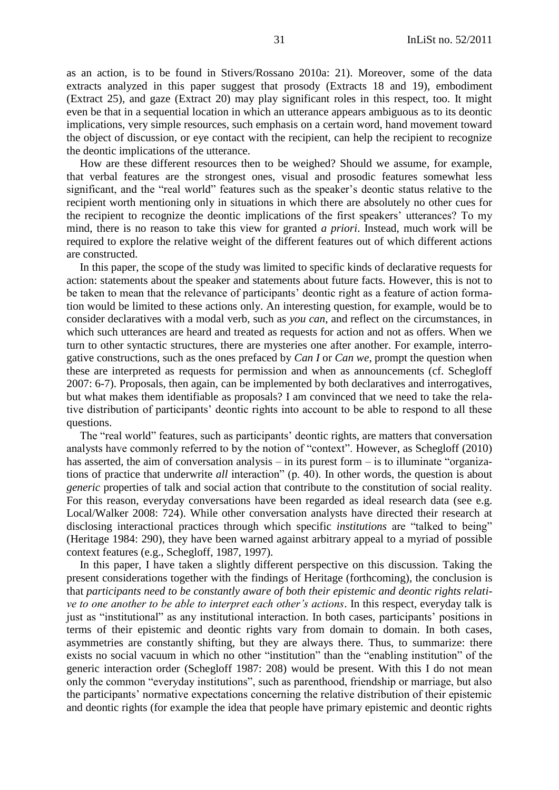as an action, is to be found in Stivers/Rossano 2010a: 21). Moreover, some of the data extracts analyzed in this paper suggest that prosody (Extracts 18 and 19), embodiment (Extract 25), and gaze (Extract 20) may play significant roles in this respect, too. It might even be that in a sequential location in which an utterance appears ambiguous as to its deontic implications, very simple resources, such emphasis on a certain word, hand movement toward the object of discussion, or eye contact with the recipient, can help the recipient to recognize the deontic implications of the utterance.

How are these different resources then to be weighed? Should we assume, for example, that verbal features are the strongest ones, visual and prosodic features somewhat less significant, and the "real world" features such as the speaker's deontic status relative to the recipient worth mentioning only in situations in which there are absolutely no other cues for the recipient to recognize the deontic implications of the first speakers' utterances? To my mind, there is no reason to take this view for granted *a priori*. Instead, much work will be required to explore the relative weight of the different features out of which different actions are constructed.

In this paper, the scope of the study was limited to specific kinds of declarative requests for action: statements about the speaker and statements about future facts. However, this is not to be taken to mean that the relevance of participants' deontic right as a feature of action formation would be limited to these actions only. An interesting question, for example, would be to consider declaratives with a modal verb, such as *you can*, and reflect on the circumstances, in which such utterances are heard and treated as requests for action and not as offers. When we turn to other syntactic structures, there are mysteries one after another. For example, interrogative constructions, such as the ones prefaced by *Can I* or *Can we,* prompt the question when these are interpreted as requests for permission and when as announcements (cf. Schegloff 2007: 6-7). Proposals, then again, can be implemented by both declaratives and interrogatives, but what makes them identifiable as proposals? I am convinced that we need to take the relative distribution of participants' deontic rights into account to be able to respond to all these questions.

The "real world" features, such as participants' deontic rights, are matters that conversation analysts have commonly referred to by the notion of "context". However, as Schegloff (2010) has asserted, the aim of conversation analysis – in its purest form – is to illuminate "organizations of practice that underwrite *all* interaction" (p. 40). In other words, the question is about *generic* properties of talk and social action that contribute to the constitution of social reality. For this reason, everyday conversations have been regarded as ideal research data (see e.g. Local/Walker 2008: 724). While other conversation analysts have directed their research at disclosing interactional practices through which specific *institutions* are "talked to being" (Heritage 1984: 290), they have been warned against arbitrary appeal to a myriad of possible context features (e.g., Schegloff, 1987, 1997).

In this paper, I have taken a slightly different perspective on this discussion. Taking the present considerations together with the findings of Heritage (forthcoming), the conclusion is that *participants need to be constantly aware of both their epistemic and deontic rights relative to one another to be able to interpret each other's actions*. In this respect, everyday talk is just as "institutional" as any institutional interaction. In both cases, participants' positions in terms of their epistemic and deontic rights vary from domain to domain. In both cases, asymmetries are constantly shifting, but they are always there. Thus, to summarize: there exists no social vacuum in which no other "institution" than the "enabling institution" of the generic interaction order (Schegloff 1987: 208) would be present. With this I do not mean only the common "everyday institutions", such as parenthood, friendship or marriage, but also the participants' normative expectations concerning the relative distribution of their epistemic and deontic rights (for example the idea that people have primary epistemic and deontic rights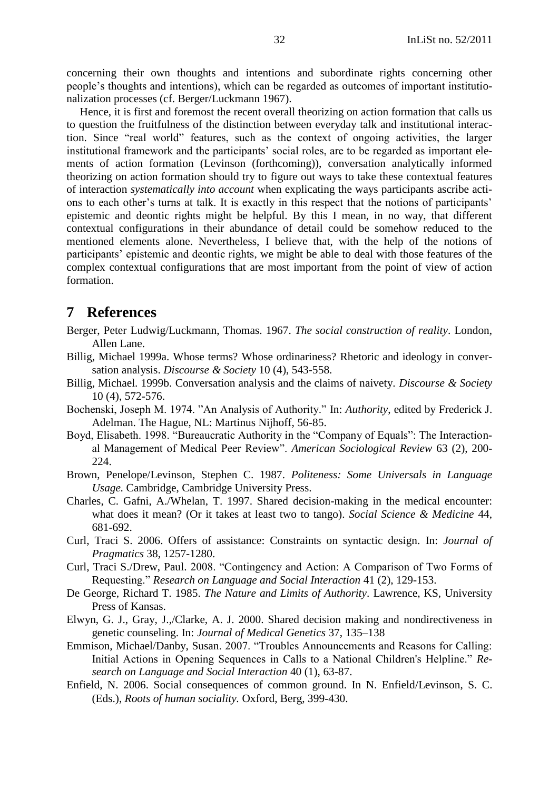concerning their own thoughts and intentions and subordinate rights concerning other people's thoughts and intentions), which can be regarded as outcomes of important institutionalization processes (cf. Berger/Luckmann 1967).

Hence, it is first and foremost the recent overall theorizing on action formation that calls us to question the fruitfulness of the distinction between everyday talk and institutional interaction. Since "real world" features, such as the context of ongoing activities, the larger institutional framework and the participants' social roles, are to be regarded as important elements of action formation (Levinson (forthcoming)), conversation analytically informed theorizing on action formation should try to figure out ways to take these contextual features of interaction *systematically into account* when explicating the ways participants ascribe actions to each other's turns at talk. It is exactly in this respect that the notions of participants' epistemic and deontic rights might be helpful. By this I mean, in no way, that different contextual configurations in their abundance of detail could be somehow reduced to the mentioned elements alone. Nevertheless, I believe that, with the help of the notions of participants' epistemic and deontic rights, we might be able to deal with those features of the complex contextual configurations that are most important from the point of view of action formation.

## <span id="page-31-0"></span>**7 References**

- <span id="page-31-1"></span>Berger, Peter Ludwig/Luckmann, Thomas. 1967. *The social construction of reality*. London, Allen Lane.
- Billig, Michael 1999a. Whose terms? Whose ordinariness? Rhetoric and ideology in conversation analysis. *Discourse & Society* 10 (4), 543-558.
- Billig, Michael. 1999b. Conversation analysis and the claims of naivety. *Discourse & Society* 10 (4), 572-576.
- Bochenski, Joseph M. 1974. "An Analysis of Authority." In: *Authority*, edited by Frederick J. Adelman. The Hague, NL: Martinus Nijhoff, 56-85.
- Boyd, Elisabeth. 1998. "Bureaucratic Authority in the "Company of Equals": The Interactional Management of Medical Peer Review‖. *American Sociological Review* 63 (2), 200- 224.
- Brown, Penelope/Levinson, Stephen C. 1987. *Politeness: Some Universals in Language Usage.* Cambridge, Cambridge University Press.
- Charles, C. Gafni, A./Whelan, T. 1997. Shared decision-making in the medical encounter: what does it mean? (Or it takes at least two to tango). *Social Science & Medicine* 44, 681-692.
- Curl, Traci S. 2006. Offers of assistance: Constraints on syntactic design. In: *Journal of Pragmatics* 38, 1257-1280.
- Curl, Traci S./Drew, Paul. 2008. "Contingency and Action: A Comparison of Two Forms of Requesting.‖ *Research on Language and Social Interaction* 41 (2), 129-153.
- De George, Richard T. 1985. *The Nature and Limits of Authority*. Lawrence, KS, University Press of Kansas.
- Elwyn, G. J., Gray, J.,/Clarke, A. J. 2000. Shared decision making and nondirectiveness in genetic counseling. In: *Journal of Medical Genetics* 37, 135–138
- Emmison, Michael/Danby, Susan. 2007. "Troubles Announcements and Reasons for Calling: Initial Actions in Opening Sequences in Calls to a National Children's Helpline." Re*search on Language and Social Interaction* 40 (1), 63-87.
- Enfield, N. 2006. Social consequences of common ground. In N. Enfield/Levinson, S. C. (Eds.), *Roots of human sociality.* Oxford, Berg, 399-430.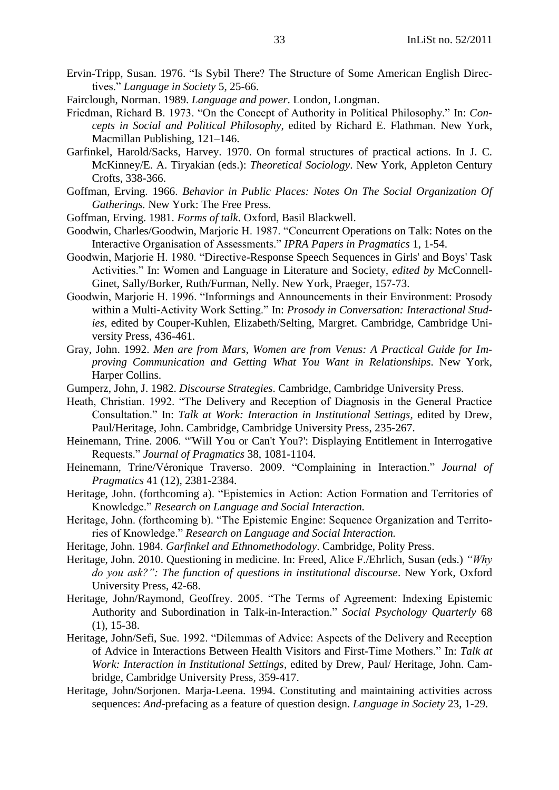- Ervin-Tripp, Susan. 1976. "Is Sybil There? The Structure of Some American English Directives." *Language in Society* 5, 25-66.
- Fairclough, Norman. 1989. *Language and power*. London, Longman.
- Friedman, Richard B. 1973. "On the Concept of Authority in Political Philosophy." In: *Concepts in Social and Political Philosophy*, edited by Richard E. Flathman. New York, Macmillan Publishing, 121–146.
- Garfinkel, Harold/Sacks, Harvey. 1970. On formal structures of practical actions. In J. C. McKinney/E. A. Tiryakian (eds.): *Theoretical Sociology*. New York, Appleton Century Crofts, 338-366.
- Goffman, Erving. 1966. *Behavior in Public Places: Notes On The Social Organization Of Gatherings.* New York: The Free Press.
- Goffman, Erving. 1981. *Forms of talk*. Oxford, Basil Blackwell.
- Goodwin, Charles/Goodwin, Marjorie H. 1987. "Concurrent Operations on Talk: Notes on the Interactive Organisation of Assessments." *IPRA Papers in Pragmatics* 1, 1-54.
- Goodwin, Marjorie H. 1980. "Directive-Response Speech Sequences in Girls' and Boys' Task Activities.‖ In: Women and Language in Literature and Society*, edited by* McConnell-Ginet, Sally/Borker, Ruth/Furman, Nelly. New York, Praeger, 157-73.
- Goodwin, Marjorie H. 1996. "Informings and Announcements in their Environment: Prosody within a Multi-Activity Work Setting." In: *Prosody in Conversation: Interactional Studies*, edited by Couper-Kuhlen, Elizabeth/Selting, Margret. Cambridge, Cambridge University Press, 436-461.
- Gray, John. 1992. *Men are from Mars, Women are from Venus: A Practical Guide for Improving Communication and Getting What You Want in Relationships*. New York, Harper Collins.
- Gumperz, John, J. 1982. *Discourse Strategies*. Cambridge, Cambridge University Press.
- Heath, Christian. 1992. "The Delivery and Reception of Diagnosis in the General Practice Consultation." In: *Talk at Work: Interaction in Institutional Settings*, edited by Drew, Paul/Heritage, John. Cambridge, Cambridge University Press, 235-267.
- Heinemann, Trine. 2006. "Will You or Can't You?': Displaying Entitlement in Interrogative Requests.‖ *Journal of Pragmatics* 38, 1081-1104.
- Heinemann, Trine/Véronique Traverso. 2009. "Complaining in Interaction." *Journal of Pragmatics* 41 (12), 2381-2384.
- Heritage, John. (forthcoming a). "Epistemics in Action: Action Formation and Territories of Knowledge.‖ *Research on Language and Social Interaction.*
- Heritage, John. (forthcoming b). "The Epistemic Engine: Sequence Organization and Territories of Knowledge.‖ *Research on Language and Social Interaction.*
- Heritage, John. 1984. *Garfinkel and Ethnomethodology*. Cambridge, Polity Press.
- Heritage, John. 2010. Questioning in medicine. In: Freed, Alice F./Ehrlich, Susan (eds.) *"Why do you ask?": The function of questions in institutional discourse*. New York, Oxford University Press, 42-68.
- Heritage, John/Raymond, Geoffrey. 2005. "The Terms of Agreement: Indexing Epistemic Authority and Subordination in Talk-in-Interaction." Social Psychology Quarterly 68 (1), 15-38.
- Heritage, John/Sefi, Sue. 1992. "Dilemmas of Advice: Aspects of the Delivery and Reception of Advice in Interactions Between Health Visitors and First-Time Mothers." In: Talk at *Work: Interaction in Institutional Settings*, edited by Drew, Paul/ Heritage, John. Cambridge, Cambridge University Press, 359-417.
- Heritage, John/Sorjonen. Marja-Leena. 1994. Constituting and maintaining activities across sequences: *And*-prefacing as a feature of question design. *Language in Society* 23, 1-29.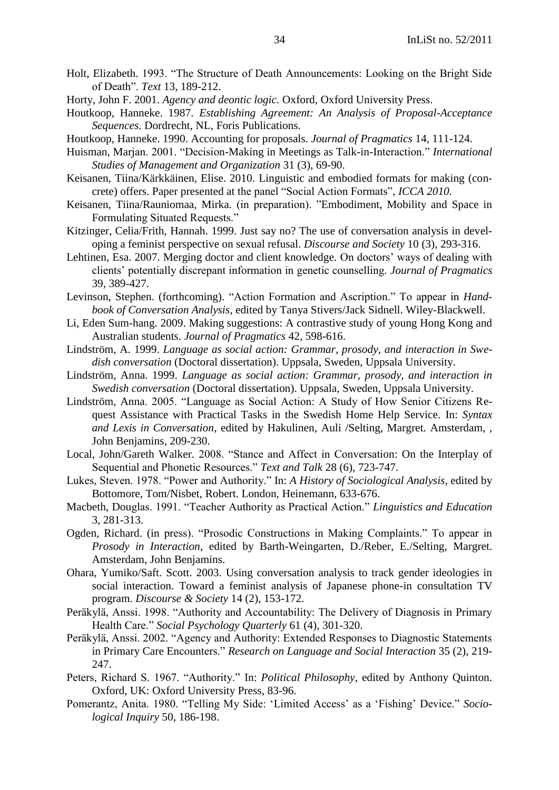- Holt, Elizabeth. 1993. "The Structure of Death Announcements: Looking on the Bright Side of Death‖. *Text* 13, 189-212.
- Horty, John F. 2001. *Agency and deontic logic.* Oxford, Oxford University Press.
- Houtkoop, Hanneke. 1987. *Establishing Agreement: An Analysis of Proposal-Acceptance Sequences*. Dordrecht, NL, Foris Publications.
- Houtkoop, Hanneke. 1990. Accounting for proposals. *Journal of Pragmatics* 14, 111-124.
- Huisman, Marjan. 2001. "Decision-Making in Meetings as Talk-in-Interaction." *International Studies of Management and Organization* 31 (3), 69-90.
- Keisanen, Tiina/Kärkkäinen, Elise. 2010. Linguistic and embodied formats for making (concrete) offers. Paper presented at the panel "Social Action Formats", *ICCA 2010*.
- Keisanen, Tiina/Rauniomaa, Mirka. (in preparation). "Embodiment, Mobility and Space in Formulating Situated Requests."
- Kitzinger, Celia/Frith, Hannah. 1999. Just say no? The use of conversation analysis in developing a feminist perspective on sexual refusal. *Discourse and Society* 10 (3), 293-316.
- Lehtinen, Esa. 2007. Merging doctor and client knowledge. On doctors' ways of dealing with clients' potentially discrepant information in genetic counselling. *Journal of Pragmatics* 39, 389-427.
- Levinson, Stephen. (forthcoming). "Action Formation and Ascription." To appear in *Handbook of Conversation Analysis*, edited by Tanya Stivers/Jack Sidnell. Wiley-Blackwell.
- Li, Eden Sum-hang. 2009. Making suggestions: A contrastive study of young Hong Kong and Australian students. *Journal of Pragmatics* 42, 598-616.
- Lindström, A. 1999. *Language as social action: Grammar, prosody, and interaction in Swedish conversation* (Doctoral dissertation). Uppsala, Sweden, Uppsala University.
- Lindström, Anna. 1999. *Language as social action: Grammar, prosody, and interaction in Swedish conversation* (Doctoral dissertation). Uppsala, Sweden, Uppsala University.
- Lindström, Anna. 2005. "Language as Social Action: A Study of How Senior Citizens Request Assistance with Practical Tasks in the Swedish Home Help Service. In: *Syntax and Lexis in Conversation*, edited by Hakulinen, Auli /Selting, Margret. Amsterdam, , John Benjamins, 209-230.
- Local, John/Gareth Walker. 2008. "Stance and Affect in Conversation: On the Interplay of Sequential and Phonetic Resources." *Text and Talk* 28 (6), 723-747.
- Lukes, Steven. 1978. "Power and Authority." In: *A History of Sociological Analysis*, edited by Bottomore, Tom/Nisbet, Robert. London, Heinemann, 633-676.
- Macbeth, Douglas. 1991. "Teacher Authority as Practical Action." *Linguistics and Education* 3, 281-313.
- Ogden, Richard. (in press). "Prosodic Constructions in Making Complaints." To appear in *Prosody in Interaction*, edited by Barth-Weingarten, D./Reber, E./Selting, Margret. Amsterdam, John Benjamins.
- Ohara, Yumiko/Saft. Scott. 2003. Using conversation analysis to track gender ideologies in social interaction. Toward a feminist analysis of Japanese phone-in consultation TV program. *Discourse & Society* 14 (2), 153-172.
- Peräkylä, Anssi. 1998. "Authority and Accountability: The Delivery of Diagnosis in Primary Health Care." *Social Psychology Quarterly* 61 (4), 301-320.
- Peräkylä, Anssi. 2002. "Agency and Authority: Extended Responses to Diagnostic Statements in Primary Care Encounters." *Research on Language and Social Interaction* 35 (2), 219-247.
- Peters, Richard S. 1967. "Authority." In: *Political Philosophy*, edited by Anthony Quinton. Oxford, UK: Oxford University Press, 83-96.
- Pomerantz, Anita. 1980. "Telling My Side: 'Limited Access' as a 'Fishing' Device." Socio*logical Inquiry* 50, 186-198.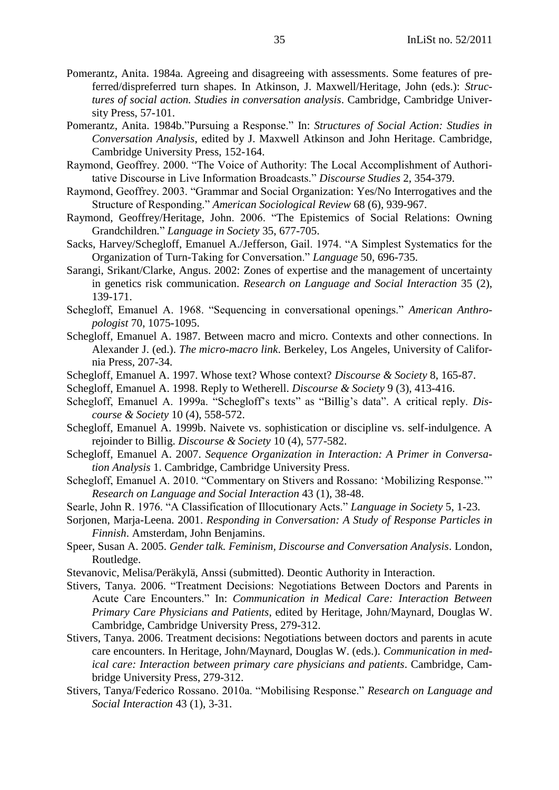- Pomerantz, Anita. 1984a. Agreeing and disagreeing with assessments. Some features of preferred/dispreferred turn shapes. In Atkinson, J. Maxwell/Heritage, John (eds.): *Structures of social action. Studies in conversation analysis*. Cambridge, Cambridge University Press, 57-101.
- Pomerantz, Anita. 1984b."Pursuing a Response." In: *Structures of Social Action: Studies in Conversation Analysis*, edited by J. Maxwell Atkinson and John Heritage. Cambridge, Cambridge University Press, 152-164.
- Raymond, Geoffrey. 2000. "The Voice of Authority: The Local Accomplishment of Authoritative Discourse in Live Information Broadcasts.‖ *Discourse Studies* 2, 354-379.
- Raymond, Geoffrey. 2003. "Grammar and Social Organization: Yes/No Interrogatives and the Structure of Responding." American Sociological Review 68 (6), 939-967.
- Raymond, Geoffrey/Heritage, John. 2006. "The Epistemics of Social Relations: Owning Grandchildren*.*‖ *Language in Society* 35, 677-705.
- Sacks, Harvey/Schegloff, Emanuel A./Jefferson, Gail. 1974. "A Simplest Systematics for the Organization of Turn-Taking for Conversation.‖ *Language* 50, 696-735.
- Sarangi, Srikant/Clarke, Angus. 2002: Zones of expertise and the management of uncertainty in genetics risk communication. *Research on Language and Social Interaction* 35 (2), 139-171.
- Schegloff, Emanuel A. 1968. "Sequencing in conversational openings." American Anthro*pologist* 70, 1075-1095.
- Schegloff, Emanuel A. 1987. Between macro and micro. Contexts and other connections. In Alexander J. (ed.). *The micro-macro link*. Berkeley, Los Angeles, University of California Press, 207-34.
- Schegloff, Emanuel A. 1997. Whose text? Whose context? *Discourse & Society* 8, 165-87.
- Schegloff, Emanuel A. 1998. Reply to Wetherell. *Discourse & Society* 9 (3), 413-416.
- Schegloff, Emanuel A. 1999a. "Schegloff's texts" as "Billig's data". A critical reply. *Discourse & Society* 10 (4), 558-572.
- Schegloff, Emanuel A. 1999b. Naivete vs. sophistication or discipline vs. self-indulgence. A rejoinder to Billig. *Discourse & Society* 10 (4), 577-582.
- Schegloff, Emanuel A. 2007. *Sequence Organization in Interaction: A Primer in Conversation Analysis* 1. Cambridge, Cambridge University Press.
- Schegloff, Emanuel A. 2010. "Commentary on Stivers and Rossano: 'Mobilizing Response.'" *Research on Language and Social Interaction* 43 (1), 38-48.
- Searle, John R. 1976. "A Classification of Illocutionary Acts." *Language in Society* 5, 1-23.
- Sorjonen, Marja-Leena. 2001. *Responding in Conversation: A Study of Response Particles in Finnish*. Amsterdam, John Benjamins.
- Speer, Susan A. 2005. *Gender talk. Feminism, Discourse and Conversation Analysis*. London, Routledge.
- Stevanovic, Melisa/Peräkylä, Anssi (submitted). Deontic Authority in Interaction.
- Stivers, Tanya. 2006. "Treatment Decisions: Negotiations Between Doctors and Parents in Acute Care Encounters." In: *Communication in Medical Care: Interaction Between Primary Care Physicians and Patients*, edited by Heritage, John/Maynard, Douglas W. Cambridge, Cambridge University Press, 279-312.
- Stivers, Tanya. 2006. Treatment decisions: Negotiations between doctors and parents in acute care encounters. In Heritage, John/Maynard, Douglas W. (eds.). *Communication in medical care: Interaction between primary care physicians and patients*. Cambridge, Cambridge University Press, 279-312.
- Stivers, Tanya/Federico Rossano. 2010a. "Mobilising Response." Research on Language and *Social Interaction* 43 (1), 3-31.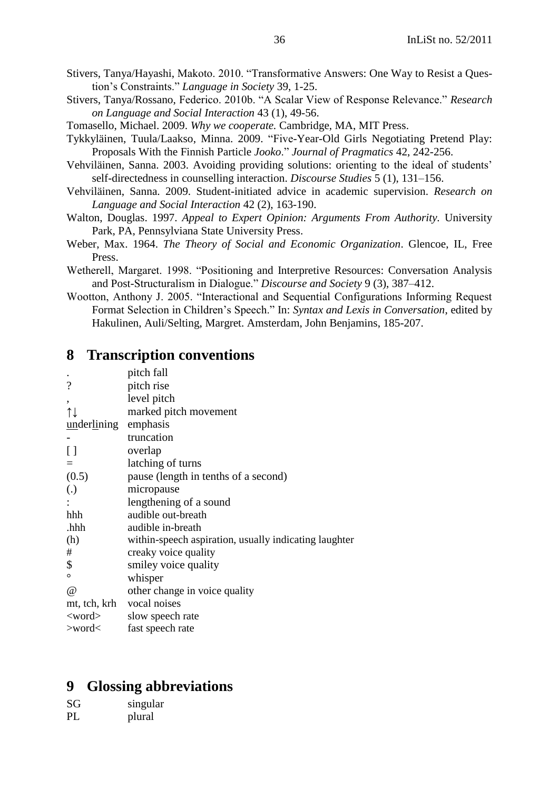- Stivers, Tanya/Hayashi, Makoto. 2010. "Transformative Answers: One Way to Resist a Question's Constraints.‖ *Language in Society* 39, 1-25.
- Stivers, Tanya/Rossano, Federico. 2010b. "A Scalar View of Response Relevance." *Research on Language and Social Interaction* 43 (1), 49-56.

Tomasello, Michael. 2009. *Why we cooperate.* Cambridge, MA, MIT Press.

- Tykkyläinen, Tuula/Laakso, Minna. 2009. "Five-Year-Old Girls Negotiating Pretend Play: Proposals With the Finnish Particle *Jooko*.‖ *Journal of Pragmatics* 42, 242-256.
- Vehviläinen, Sanna. 2003. Avoiding providing solutions: orienting to the ideal of students' self-directedness in counselling interaction. *Discourse Studies* 5 (1), 131–156.
- Vehviläinen, Sanna. 2009. Student-initiated advice in academic supervision. *Research on Language and Social Interaction* 42 (2), 163-190.
- Walton, Douglas. 1997. *Appeal to Expert Opinion: Arguments From Authority.* University Park, PA, Pennsylviana State University Press.
- Weber, Max. 1964. *The Theory of Social and Economic Organization*. Glencoe, IL, Free Press.
- Wetherell, Margaret. 1998. "Positioning and Interpretive Resources: Conversation Analysis and Post-Structuralism in Dialogue." *Discourse and Society* 9 (3), 387–412.
- Wootton, Anthony J. 2005. "Interactional and Sequential Configurations Informing Request Format Selection in Children's Speech." In: Syntax and Lexis in Conversation, edited by Hakulinen, Auli/Selting, Margret. Amsterdam, John Benjamins, 185-207.

## **8 Transcription conventions**

| pitch fall                                            |
|-------------------------------------------------------|
| pitch rise                                            |
| level pitch                                           |
| marked pitch movement                                 |
| emphasis<br>underlining                               |
| truncation                                            |
| overlap                                               |
| latching of turns                                     |
| pause (length in tenths of a second)                  |
| micropause                                            |
| lengthening of a sound                                |
| audible out-breath                                    |
| audible in-breath                                     |
| within-speech aspiration, usually indicating laughter |
| creaky voice quality                                  |
| smiley voice quality                                  |
| whisper                                               |
| other change in voice quality                         |
| vocal noises                                          |
| slow speech rate                                      |
| fast speech rate                                      |
|                                                       |

# <span id="page-35-0"></span>**9 Glossing abbreviations**

| SG | singular |
|----|----------|
| PL | plural   |